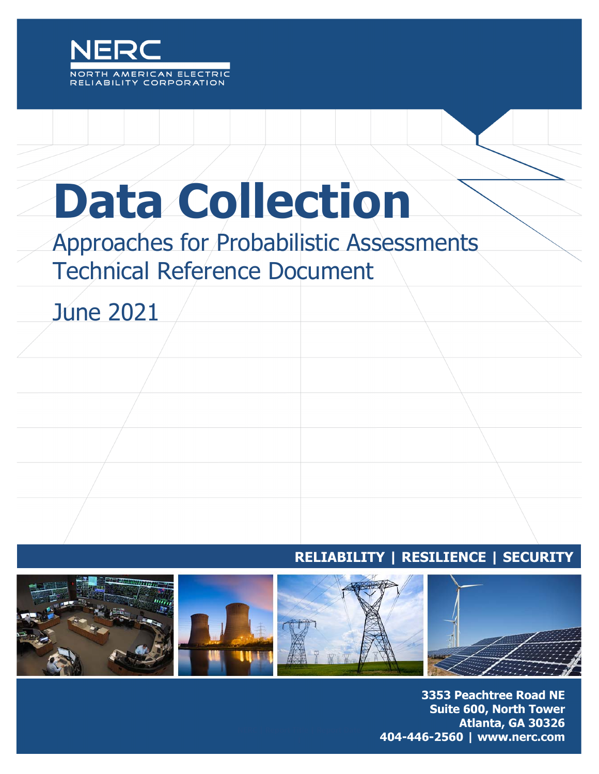

# **Data Collection**

# Approaches for Probabilistic Assessments Technical Reference Document

June 2021

## **RELIABILITY | RESILIENCE | SECURITY**



3353 Peachtree Road NE **Suite 600, North Tower** Atlanta, GA 30326 404-446-2560 | www.nerc.com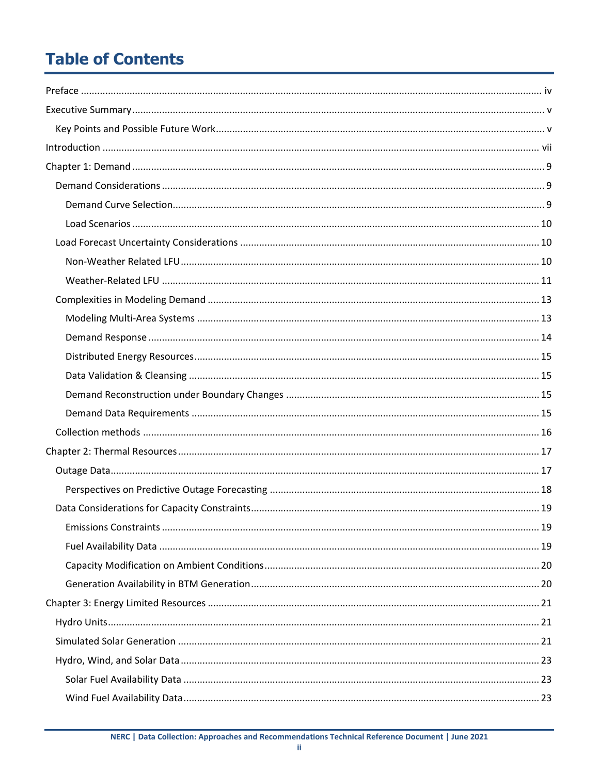# **Table of Contents**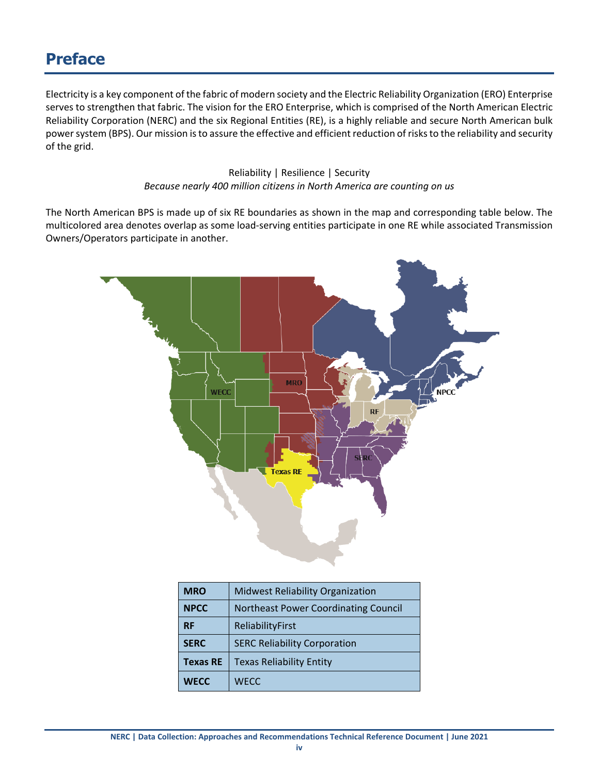## <span id="page-3-0"></span>**Preface**

Electricity is a key component of the fabric of modern society and the Electric Reliability Organization (ERO) Enterprise serves to strengthen that fabric. The vision for the ERO Enterprise, which is comprised of the North American Electric Reliability Corporation (NERC) and the six Regional Entities (RE), is a highly reliable and secure North American bulk power system (BPS). Our mission is to assure the effective and efficient reduction of risks to the reliability and security of the grid.

> Reliability | Resilience | Security *Because nearly 400 million citizens in North America are counting on us*

The North American BPS is made up of six RE boundaries as shown in the map and corresponding table below. The multicolored area denotes overlap as some load-serving entities participate in one RE while associated Transmission Owners/Operators participate in another.



| <b>MRO</b>      | <b>Midwest Reliability Organization</b>     |
|-----------------|---------------------------------------------|
| <b>NPCC</b>     | <b>Northeast Power Coordinating Council</b> |
| <b>RF</b>       | ReliabilityFirst                            |
| <b>SERC</b>     | <b>SERC Reliability Corporation</b>         |
| <b>Texas RE</b> | <b>Texas Reliability Entity</b>             |
| <b>WECC</b>     | <b>WECC</b>                                 |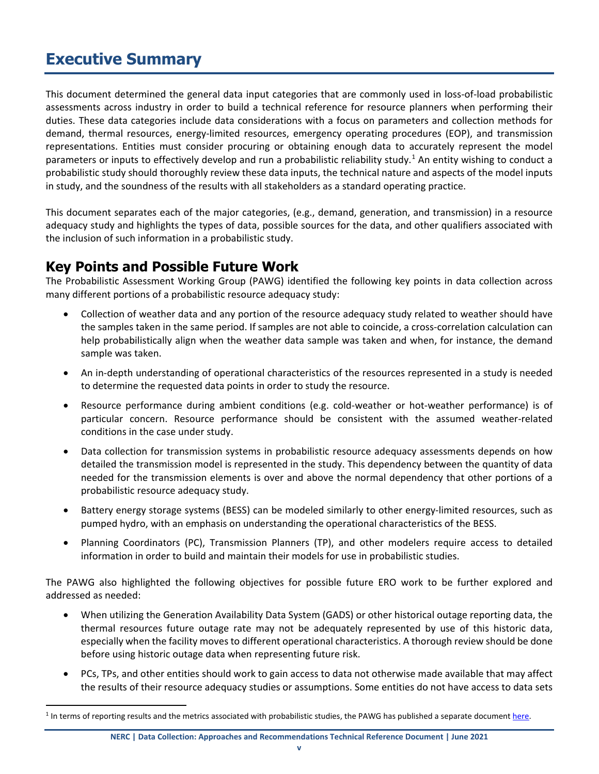# <span id="page-4-0"></span>**Executive Summary**

This document determined the general data input categories that are commonly used in loss-of-load probabilistic assessments across industry in order to build a technical reference for resource planners when performing their duties. These data categories include data considerations with a focus on parameters and collection methods for demand, thermal resources, energy-limited resources, emergency operating procedures (EOP), and transmission representations. Entities must consider procuring or obtaining enough data to accurately represent the model parameters or inputs to effectively develop and run a probabilistic reliability study.<sup>[1](#page-4-2)</sup> An entity wishing to conduct a probabilistic study should thoroughly review these data inputs, the technical nature and aspects of the model inputs in study, and the soundness of the results with all stakeholders as a standard operating practice.

This document separates each of the major categories, (e.g., demand, generation, and transmission) in a resource adequacy study and highlights the types of data, possible sources for the data, and other qualifiers associated with the inclusion of such information in a probabilistic study.

## <span id="page-4-1"></span>**Key Points and Possible Future Work**

The Probabilistic Assessment Working Group (PAWG) identified the following key points in data collection across many different portions of a probabilistic resource adequacy study:

- Collection of weather data and any portion of the resource adequacy study related to weather should have the samples taken in the same period. If samples are not able to coincide, a cross-correlation calculation can help probabilistically align when the weather data sample was taken and when, for instance, the demand sample was taken.
- An in-depth understanding of operational characteristics of the resources represented in a study is needed to determine the requested data points in order to study the resource.
- Resource performance during ambient conditions (e.g. cold-weather or hot-weather performance) is of particular concern. Resource performance should be consistent with the assumed weather-related conditions in the case under study.
- Data collection for transmission systems in probabilistic resource adequacy assessments depends on how detailed the transmission model is represented in the study. This dependency between the quantity of data needed for the transmission elements is over and above the normal dependency that other portions of a probabilistic resource adequacy study.
- Battery energy storage systems (BESS) can be modeled similarly to other energy-limited resources, such as pumped hydro, with an emphasis on understanding the operational characteristics of the BESS.
- Planning Coordinators (PC), Transmission Planners (TP), and other modelers require access to detailed information in order to build and maintain their models for use in probabilistic studies.

The PAWG also highlighted the following objectives for possible future ERO work to be further explored and addressed as needed:

- When utilizing the Generation Availability Data System (GADS) or other historical outage reporting data, the thermal resources future outage rate may not be adequately represented by use of this historic data, especially when the facility moves to different operational characteristics. A thorough review should be done before using historic outage data when representing future risk.
- PCs, TPs, and other entities should work to gain access to data not otherwise made available that may affect the results of their resource adequacy studies or assumptions. Some entities do not have access to data sets

<span id="page-4-2"></span><sup>&</sup>lt;sup>1</sup> In terms of reporting results and the metrics associated with probabilistic studies, the PAWG has published a separate documen[t here.](https://www.nerc.com/comm/PC/Probabilistic%20Assessment%20Working%20Group%20PAWG%20%20Relat/Probabilistic%20Adequacy%20and%20Measures%20Report.pdf)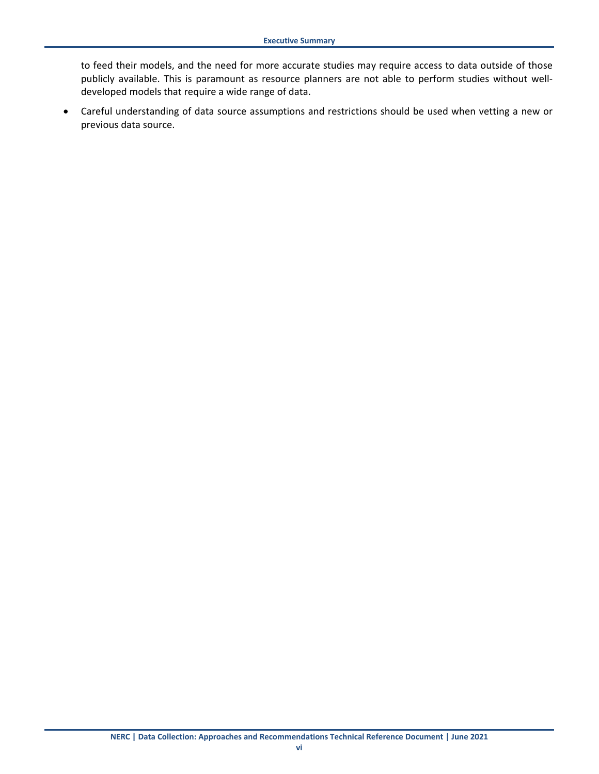to feed their models, and the need for more accurate studies may require access to data outside of those publicly available. This is paramount as resource planners are not able to perform studies without welldeveloped models that require a wide range of data.

• Careful understanding of data source assumptions and restrictions should be used when vetting a new or previous data source.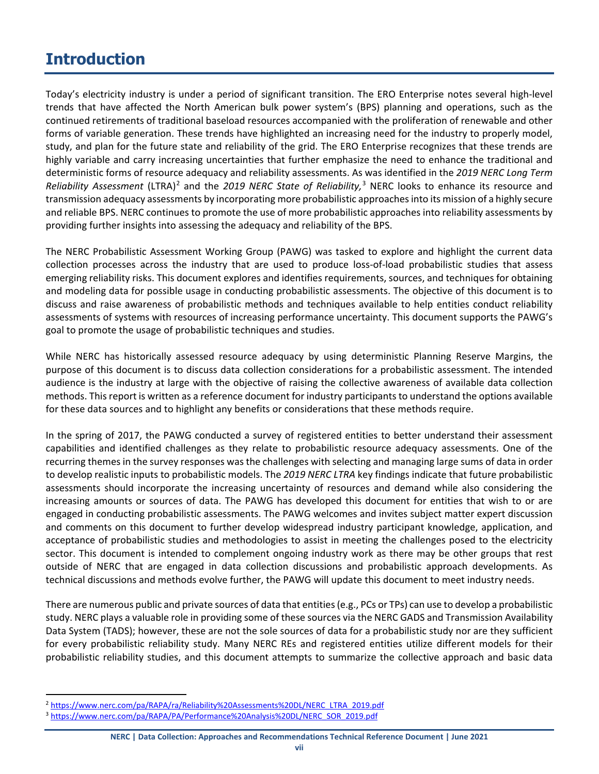# <span id="page-6-0"></span>**Introduction**

Today's electricity industry is under a period of significant transition. The ERO Enterprise notes several high-level trends that have affected the North American bulk power system's (BPS) planning and operations, such as the continued retirements of traditional baseload resources accompanied with the proliferation of renewable and other forms of variable generation. These trends have highlighted an increasing need for the industry to properly model, study, and plan for the future state and reliability of the grid. The ERO Enterprise recognizes that these trends are highly variable and carry increasing uncertainties that further emphasize the need to enhance the traditional and deterministic forms of resource adequacy and reliability assessments. As was identified in the *2019 NERC Long Term*  Reliability Assessment (LTRA)<sup>[2](#page-6-1)</sup> and the 2019 NERC State of Reliability,<sup>[3](#page-6-2)</sup> NERC looks to enhance its resource and transmission adequacy assessments by incorporating more probabilistic approaches into its mission of a highly secure and reliable BPS. NERC continues to promote the use of more probabilistic approaches into reliability assessments by providing further insights into assessing the adequacy and reliability of the BPS.

The NERC Probabilistic Assessment Working Group (PAWG) was tasked to explore and highlight the current data collection processes across the industry that are used to produce loss-of-load probabilistic studies that assess emerging reliability risks. This document explores and identifies requirements, sources, and techniques for obtaining and modeling data for possible usage in conducting probabilistic assessments. The objective of this document is to discuss and raise awareness of probabilistic methods and techniques available to help entities conduct reliability assessments of systems with resources of increasing performance uncertainty. This document supports the PAWG's goal to promote the usage of probabilistic techniques and studies.

While NERC has historically assessed resource adequacy by using deterministic Planning Reserve Margins, the purpose of this document is to discuss data collection considerations for a probabilistic assessment. The intended audience is the industry at large with the objective of raising the collective awareness of available data collection methods. This report is written as a reference document for industry participants to understand the options available for these data sources and to highlight any benefits or considerations that these methods require.

In the spring of 2017, the PAWG conducted a survey of registered entities to better understand their assessment capabilities and identified challenges as they relate to probabilistic resource adequacy assessments. One of the recurring themes in the survey responses was the challenges with selecting and managing large sums of data in order to develop realistic inputs to probabilistic models. The *2019 NERC LTRA* key findings indicate that future probabilistic assessments should incorporate the increasing uncertainty of resources and demand while also considering the increasing amounts or sources of data. The PAWG has developed this document for entities that wish to or are engaged in conducting probabilistic assessments. The PAWG welcomes and invites subject matter expert discussion and comments on this document to further develop widespread industry participant knowledge, application, and acceptance of probabilistic studies and methodologies to assist in meeting the challenges posed to the electricity sector. This document is intended to complement ongoing industry work as there may be other groups that rest outside of NERC that are engaged in data collection discussions and probabilistic approach developments. As technical discussions and methods evolve further, the PAWG will update this document to meet industry needs.

There are numerous public and private sources of data that entities (e.g., PCs or TPs) can use to develop a probabilistic study. NERC plays a valuable role in providing some of these sources via the NERC GADS and Transmission Availability Data System (TADS); however, these are not the sole sources of data for a probabilistic study nor are they sufficient for every probabilistic reliability study. Many NERC REs and registered entities utilize different models for their probabilistic reliability studies, and this document attempts to summarize the collective approach and basic data

<span id="page-6-1"></span> <sup>2</sup> [https://www.nerc.com/pa/RAPA/ra/Reliability%20Assessments%20DL/NERC\\_LTRA\\_2019.pdf](https://www.nerc.com/pa/RAPA/ra/Reliability%20Assessments%20DL/NERC_LTRA_2019.pdf)

<span id="page-6-2"></span><sup>3</sup> [https://www.nerc.com/pa/RAPA/PA/Performance%20Analysis%20DL/NERC\\_SOR\\_2019.pdf](https://www.nerc.com/pa/RAPA/PA/Performance%20Analysis%20DL/NERC_SOR_2019.pdf)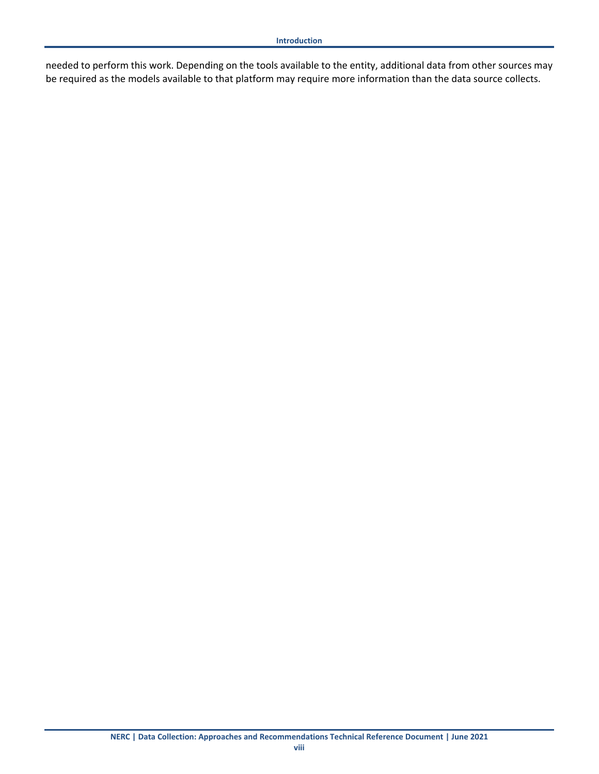needed to perform this work. Depending on the tools available to the entity, additional data from other sources may be required as the models available to that platform may require more information than the data source collects.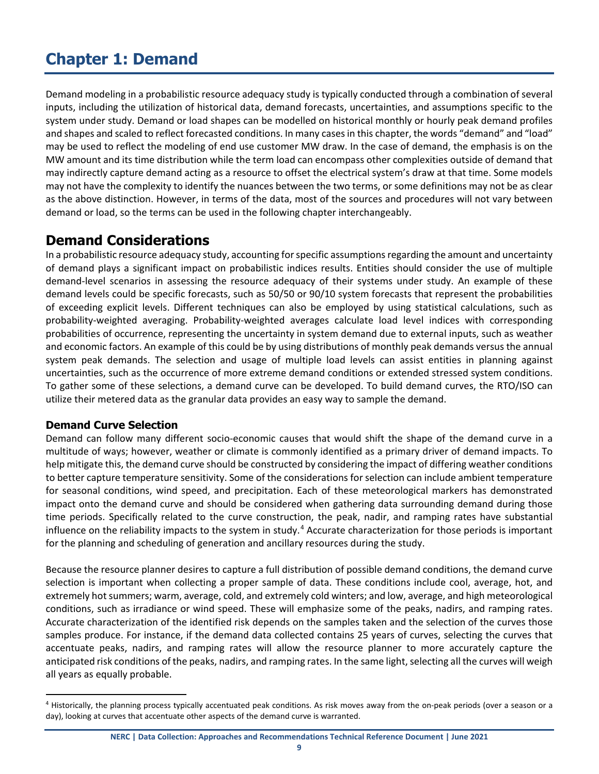# <span id="page-8-0"></span>**Chapter 1: Demand**

Demand modeling in a probabilistic resource adequacy study is typically conducted through a combination of several inputs, including the utilization of historical data, demand forecasts, uncertainties, and assumptions specific to the system under study. Demand or load shapes can be modelled on historical monthly or hourly peak demand profiles and shapes and scaled to reflect forecasted conditions. In many cases in this chapter, the words "demand" and "load" may be used to reflect the modeling of end use customer MW draw. In the case of demand, the emphasis is on the MW amount and its time distribution while the term load can encompass other complexities outside of demand that may indirectly capture demand acting as a resource to offset the electrical system's draw at that time. Some models may not have the complexity to identify the nuances between the two terms, or some definitions may not be as clear as the above distinction. However, in terms of the data, most of the sources and procedures will not vary between demand or load, so the terms can be used in the following chapter interchangeably.

## <span id="page-8-1"></span>**Demand Considerations**

In a probabilistic resource adequacy study, accounting for specific assumptions regarding the amount and uncertainty of demand plays a significant impact on probabilistic indices results. Entities should consider the use of multiple demand-level scenarios in assessing the resource adequacy of their systems under study. An example of these demand levels could be specific forecasts, such as 50/50 or 90/10 system forecasts that represent the probabilities of exceeding explicit levels. Different techniques can also be employed by using statistical calculations, such as probability-weighted averaging. Probability-weighted averages calculate load level indices with corresponding probabilities of occurrence, representing the uncertainty in system demand due to external inputs, such as weather and economic factors. An example of this could be by using distributions of monthly peak demands versus the annual system peak demands. The selection and usage of multiple load levels can assist entities in planning against uncertainties, such as the occurrence of more extreme demand conditions or extended stressed system conditions. To gather some of these selections, a demand curve can be developed. To build demand curves, the RTO/ISO can utilize their metered data as the granular data provides an easy way to sample the demand.

## <span id="page-8-2"></span>**Demand Curve Selection**

Demand can follow many different socio-economic causes that would shift the shape of the demand curve in a multitude of ways; however, weather or climate is commonly identified as a primary driver of demand impacts. To help mitigate this, the demand curve should be constructed by considering the impact of differing weather conditions to better capture temperature sensitivity. Some of the considerations for selection can include ambient temperature for seasonal conditions, wind speed, and precipitation. Each of these meteorological markers has demonstrated impact onto the demand curve and should be considered when gathering data surrounding demand during those time periods. Specifically related to the curve construction, the peak, nadir, and ramping rates have substantial influence on the reliability impacts to the system in study. $4$  Accurate characterization for those periods is important for the planning and scheduling of generation and ancillary resources during the study.

Because the resource planner desires to capture a full distribution of possible demand conditions, the demand curve selection is important when collecting a proper sample of data. These conditions include cool, average, hot, and extremely hot summers; warm, average, cold, and extremely cold winters; and low, average, and high meteorological conditions, such as irradiance or wind speed. These will emphasize some of the peaks, nadirs, and ramping rates. Accurate characterization of the identified risk depends on the samples taken and the selection of the curves those samples produce. For instance, if the demand data collected contains 25 years of curves, selecting the curves that accentuate peaks, nadirs, and ramping rates will allow the resource planner to more accurately capture the anticipated risk conditions of the peaks, nadirs, and ramping rates. In the same light, selecting all the curves will weigh all years as equally probable.

<span id="page-8-3"></span><sup>&</sup>lt;sup>4</sup> Historically, the planning process typically accentuated peak conditions. As risk moves away from the on-peak periods (over a season or a day), looking at curves that accentuate other aspects of the demand curve is warranted.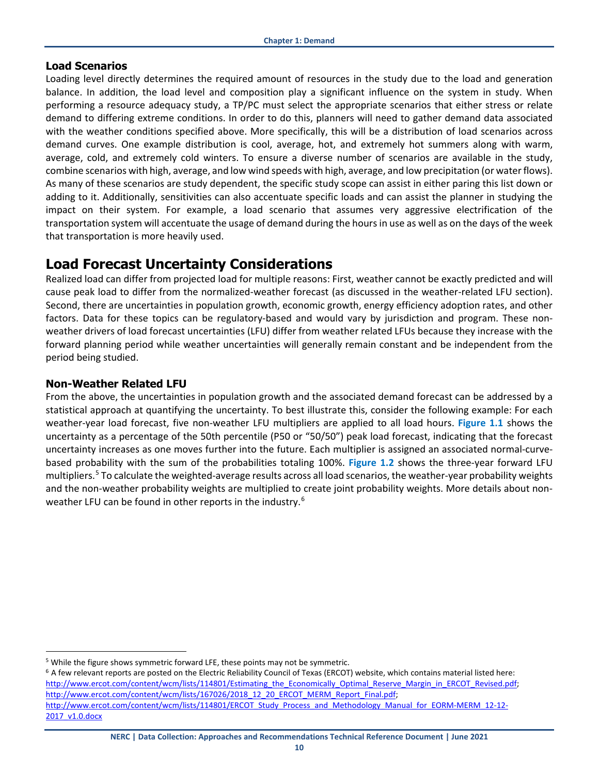#### <span id="page-9-0"></span>**Load Scenarios**

Loading level directly determines the required amount of resources in the study due to the load and generation balance. In addition, the load level and composition play a significant influence on the system in study. When performing a resource adequacy study, a TP/PC must select the appropriate scenarios that either stress or relate demand to differing extreme conditions. In order to do this, planners will need to gather demand data associated with the weather conditions specified above. More specifically, this will be a distribution of load scenarios across demand curves. One example distribution is cool, average, hot, and extremely hot summers along with warm, average, cold, and extremely cold winters. To ensure a diverse number of scenarios are available in the study, combine scenarios with high, average, and low wind speeds with high, average, and low precipitation (or water flows). As many of these scenarios are study dependent, the specific study scope can assist in either paring this list down or adding to it. Additionally, sensitivities can also accentuate specific loads and can assist the planner in studying the impact on their system. For example, a load scenario that assumes very aggressive electrification of the transportation system will accentuate the usage of demand during the hours in use as well as on the days of the week that transportation is more heavily used.

## <span id="page-9-1"></span>**Load Forecast Uncertainty Considerations**

Realized load can differ from projected load for multiple reasons: First, weather cannot be exactly predicted and will cause peak load to differ from the normalized-weather forecast (as discussed in the weather-related LFU section). Second, there are uncertainties in population growth, economic growth, energy efficiency adoption rates, and other factors. Data for these topics can be regulatory-based and would vary by jurisdiction and program. These nonweather drivers of load forecast uncertainties (LFU) differ from weather related LFUs because they increase with the forward planning period while weather uncertainties will generally remain constant and be independent from the period being studied.

## <span id="page-9-2"></span>**Non-Weather Related LFU**

From the above, the uncertainties in population growth and the associated demand forecast can be addressed by a statistical approach at quantifying the uncertainty. To best illustrate this, consider the following example: For each weather-year load forecast, five non-weather LFU multipliers are applied to all load hours. **[Figure 1.1](#page-10-1)** shows the uncertainty as a percentage of the 50th percentile (P50 or "50/50") peak load forecast, indicating that the forecast uncertainty increases as one moves further into the future. Each multiplier is assigned an associated normal-curvebased probability with the sum of the probabilities totaling 100%. **[Figure 1.2](#page-10-2)** shows the three-year forward LFU multipliers. [5](#page-9-3) To calculate the weighted-average results across all load scenarios, the weather-year probability weights and the non-weather probability weights are multiplied to create joint probability weights. More details about non-weather LFU can be found in other reports in the industry.<sup>[6](#page-9-4)</sup>

<span id="page-9-3"></span><sup>&</sup>lt;sup>5</sup> While the figure shows symmetric forward LFE, these points may not be symmetric.

<span id="page-9-4"></span> $6$  A few relevant reports are posted on the Electric Reliability Council of Texas (ERCOT) website, which contains material listed here: http://www.ercot.com/content/wcm/lists/114801/Estimating\_the\_Economically\_Optimal\_Reserve\_Margin\_in\_ERCOT\_Revised.pdf; [http://www.ercot.com/content/wcm/lists/167026/2018\\_12\\_20\\_ERCOT\\_MERM\\_Report\\_Final.pdf;](http://www.ercot.com/content/wcm/lists/167026/2018_12_20_ERCOT_MERM_Report_Final.pdf) [http://www.ercot.com/content/wcm/lists/114801/ERCOT\\_Study\\_Process\\_and\\_Methodology\\_Manual\\_for\\_EORM-MERM\\_12-12-](http://www.ercot.com/content/wcm/lists/114801/ERCOT_Study_Process_and_Methodology_Manual_for_EORM-MERM_12-12-2017_v1.0.docx) [2017\\_v1.0.docx](http://www.ercot.com/content/wcm/lists/114801/ERCOT_Study_Process_and_Methodology_Manual_for_EORM-MERM_12-12-2017_v1.0.docx)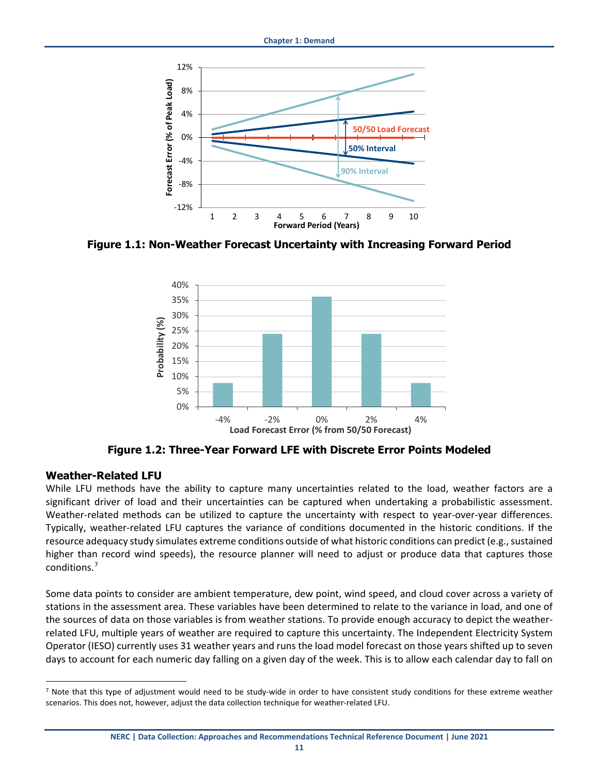

<span id="page-10-1"></span>**Figure 1.1: Non-Weather Forecast Uncertainty with Increasing Forward Period**



**Figure 1.2: Three-Year Forward LFE with Discrete Error Points Modeled**

#### <span id="page-10-2"></span><span id="page-10-0"></span>**Weather-Related LFU**

While LFU methods have the ability to capture many uncertainties related to the load, weather factors are a significant driver of load and their uncertainties can be captured when undertaking a probabilistic assessment. Weather-related methods can be utilized to capture the uncertainty with respect to year-over-year differences. Typically, weather-related LFU captures the variance of conditions documented in the historic conditions. If the resource adequacy study simulates extreme conditions outside of what historic conditions can predict (e.g., sustained higher than record wind speeds), the resource planner will need to adjust or produce data that captures those conditions.[7](#page-10-3)

Some data points to consider are ambient temperature, dew point, wind speed, and cloud cover across a variety of stations in the assessment area. These variables have been determined to relate to the variance in load, and one of the sources of data on those variables is from weather stations. To provide enough accuracy to depict the weatherrelated LFU, multiple years of weather are required to capture this uncertainty. The Independent Electricity System Operator (IESO) currently uses 31 weather years and runs the load model forecast on those years shifted up to seven days to account for each numeric day falling on a given day of the week. This is to allow each calendar day to fall on

<span id="page-10-3"></span> $<sup>7</sup>$  Note that this type of adjustment would need to be study-wide in order to have consistent study conditions for these extreme weather</sup> scenarios. This does not, however, adjust the data collection technique for weather-related LFU.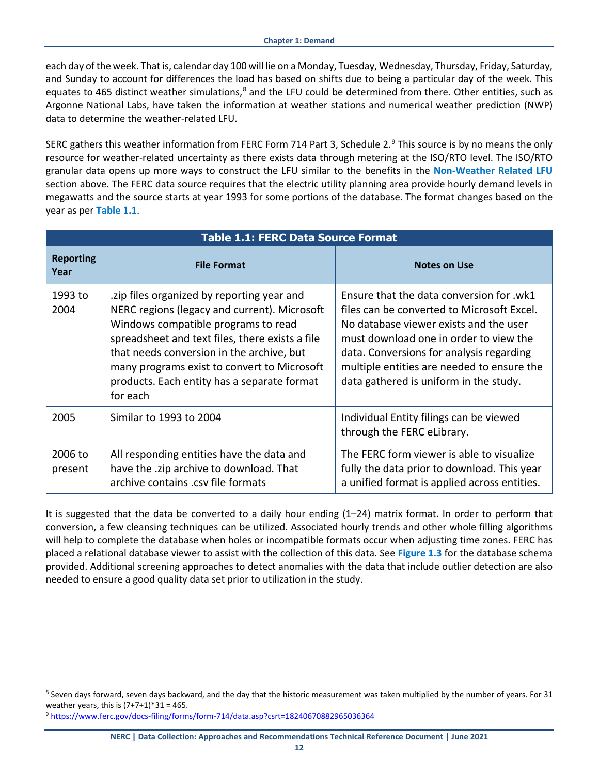each day of the week. That is, calendar day 100 will lie on a Monday, Tuesday, Wednesday, Thursday, Friday, Saturday, and Sunday to account for differences the load has based on shifts due to being a particular day of the week. This equates to 465 distinct weather simulations,<sup>[8](#page-11-1)</sup> and the LFU could be determined from there. Other entities, such as Argonne National Labs, have taken the information at weather stations and numerical weather prediction (NWP) data to determine the weather-related LFU.

SERC gathers this weather information from FERC Form 714 Part 3, Schedule 2.<sup>[9](#page-11-2)</sup> This source is by no means the only resource for weather-related uncertainty as there exists data through metering at the ISO/RTO level. The ISO/RTO granular data opens up more ways to construct the LFU similar to the benefits in the **[Non-Weather Related LFU](#page-9-2)** section above. The FERC data source requires that the electric utility planning area provide hourly demand levels in megawatts and the source starts at year 1993 for some portions of the database. The format changes based on the year as per **[Table 1.1](#page-11-0)**.

<span id="page-11-0"></span>

| <b>Table 1.1: FERC Data Source Format</b> |                                                                                                                                                                                                                                                                                                                                            |                                                                                                                                                                                                                                                                                                                |  |  |  |  |  |  |  |
|-------------------------------------------|--------------------------------------------------------------------------------------------------------------------------------------------------------------------------------------------------------------------------------------------------------------------------------------------------------------------------------------------|----------------------------------------------------------------------------------------------------------------------------------------------------------------------------------------------------------------------------------------------------------------------------------------------------------------|--|--|--|--|--|--|--|
| <b>Reporting</b><br>Year                  | <b>File Format</b>                                                                                                                                                                                                                                                                                                                         | <b>Notes on Use</b>                                                                                                                                                                                                                                                                                            |  |  |  |  |  |  |  |
| 1993 to<br>2004                           | zip files organized by reporting year and<br>NERC regions (legacy and current). Microsoft<br>Windows compatible programs to read<br>spreadsheet and text files, there exists a file<br>that needs conversion in the archive, but<br>many programs exist to convert to Microsoft<br>products. Each entity has a separate format<br>for each | Ensure that the data conversion for .wk1<br>files can be converted to Microsoft Excel.<br>No database viewer exists and the user<br>must download one in order to view the<br>data. Conversions for analysis regarding<br>multiple entities are needed to ensure the<br>data gathered is uniform in the study. |  |  |  |  |  |  |  |
| 2005                                      | Similar to 1993 to 2004                                                                                                                                                                                                                                                                                                                    | Individual Entity filings can be viewed<br>through the FERC eLibrary.                                                                                                                                                                                                                                          |  |  |  |  |  |  |  |
| 2006 to<br>present                        | All responding entities have the data and<br>have the .zip archive to download. That<br>archive contains .csv file formats                                                                                                                                                                                                                 | The FERC form viewer is able to visualize<br>fully the data prior to download. This year<br>a unified format is applied across entities.                                                                                                                                                                       |  |  |  |  |  |  |  |

It is suggested that the data be converted to a daily hour ending (1–24) matrix format. In order to perform that conversion, a few cleansing techniques can be utilized. Associated hourly trends and other whole filling algorithms will help to complete the database when holes or incompatible formats occur when adjusting time zones. FERC has placed a relational database viewer to assist with the collection of this data. See **[Figure 1.3](#page-12-2)** for the database schema provided. Additional screening approaches to detect anomalies with the data that include outlier detection are also needed to ensure a good quality data set prior to utilization in the study.

<span id="page-11-1"></span><sup>&</sup>lt;sup>8</sup> Seven days forward, seven days backward, and the day that the historic measurement was taken multiplied by the number of years. For 31 weather years, this is  $(7+7+1)*31 = 465$ .

<span id="page-11-2"></span><sup>9</sup> <https://www.ferc.gov/docs-filing/forms/form-714/data.asp?csrt=18240670882965036364>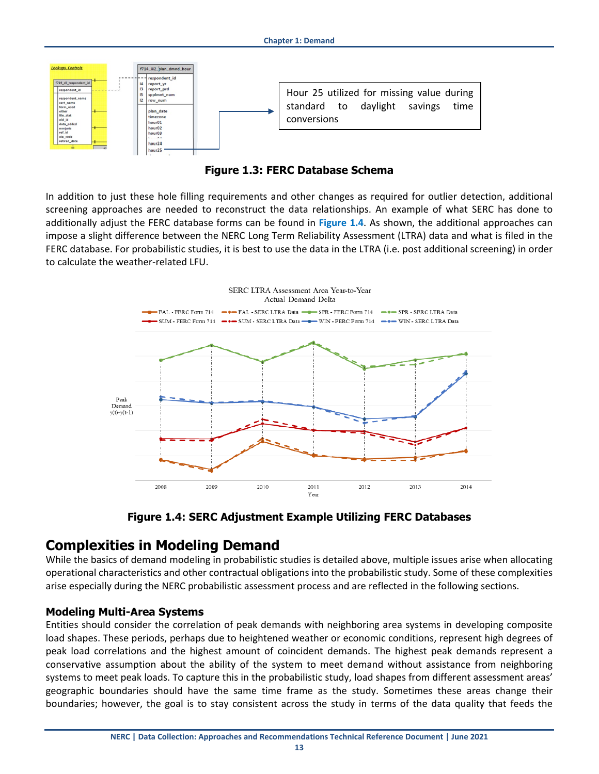

**Figure 1.3: FERC Database Schema**

<span id="page-12-2"></span>In addition to just these hole filling requirements and other changes as required for outlier detection, additional screening approaches are needed to reconstruct the data relationships. An example of what SERC has done to additionally adjust the FERC database forms can be found in **[Figure 1.4](#page-12-3)**. As shown, the additional approaches can impose a slight difference between the NERC Long Term Reliability Assessment (LTRA) data and what is filed in the FERC database. For probabilistic studies, it is best to use the data in the LTRA (i.e. post additional screening) in order to calculate the weather-related LFU.



**Figure 1.4: SERC Adjustment Example Utilizing FERC Databases**

## <span id="page-12-3"></span><span id="page-12-0"></span>**Complexities in Modeling Demand**

While the basics of demand modeling in probabilistic studies is detailed above, multiple issues arise when allocating operational characteristics and other contractual obligations into the probabilistic study. Some of these complexities arise especially during the NERC probabilistic assessment process and are reflected in the following sections.

## <span id="page-12-1"></span>**Modeling Multi-Area Systems**

Entities should consider the correlation of peak demands with neighboring area systems in developing composite load shapes. These periods, perhaps due to heightened weather or economic conditions, represent high degrees of peak load correlations and the highest amount of coincident demands. The highest peak demands represent a conservative assumption about the ability of the system to meet demand without assistance from neighboring systems to meet peak loads. To capture this in the probabilistic study, load shapes from different assessment areas' geographic boundaries should have the same time frame as the study. Sometimes these areas change their boundaries; however, the goal is to stay consistent across the study in terms of the data quality that feeds the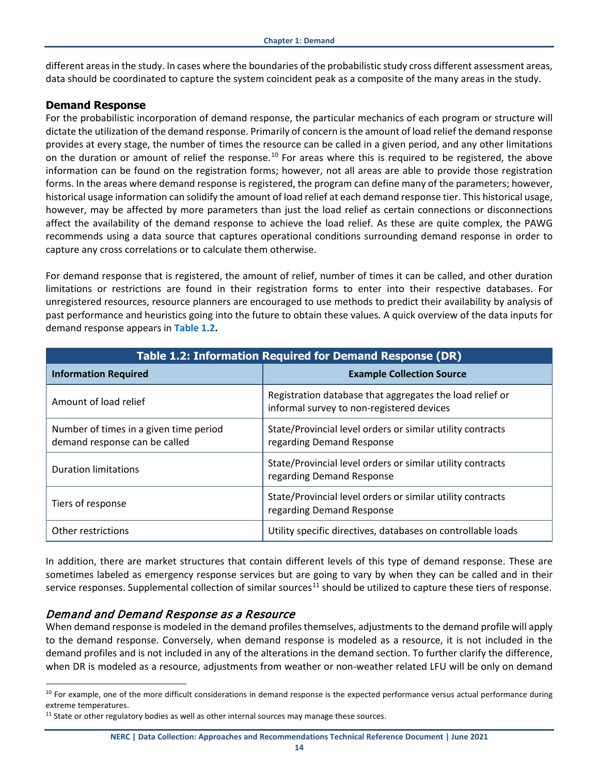different areas in the study. In cases where the boundaries of the probabilistic study cross different assessment areas, data should be coordinated to capture the system coincident peak as a composite of the many areas in the study.

#### <span id="page-13-0"></span>**Demand Response**

For the probabilistic incorporation of demand response, the particular mechanics of each program or structure will dictate the utilization of the demand response. Primarily of concern is the amount of load relief the demand response provides at every stage, the number of times the resource can be called in a given period, and any other limitations on the duration or amount of relief the response.<sup>[10](#page-13-2)</sup> For areas where this is required to be registered, the above information can be found on the registration forms; however, not all areas are able to provide those registration forms. In the areas where demand response is registered, the program can define many of the parameters; however, historical usage information can solidify the amount of load relief at each demand response tier. This historical usage, however, may be affected by more parameters than just the load relief as certain connections or disconnections affect the availability of the demand response to achieve the load relief. As these are quite complex, the PAWG recommends using a data source that captures operational conditions surrounding demand response in order to capture any cross correlations or to calculate them otherwise.

For demand response that is registered, the amount of relief, number of times it can be called, and other duration limitations or restrictions are found in their registration forms to enter into their respective databases. For unregistered resources, resource planners are encouraged to use methods to predict their availability by analysis of past performance and heuristics going into the future to obtain these values. A quick overview of the data inputs for demand response appears in **[Table 1.2.](#page-13-1)**

<span id="page-13-1"></span>

| <b>Table 1.2: Information Required for Demand Response (DR)</b>         |                                                                                                       |  |  |  |  |  |  |  |  |
|-------------------------------------------------------------------------|-------------------------------------------------------------------------------------------------------|--|--|--|--|--|--|--|--|
| <b>Information Required</b>                                             | <b>Example Collection Source</b>                                                                      |  |  |  |  |  |  |  |  |
| Amount of load relief                                                   | Registration database that aggregates the load relief or<br>informal survey to non-registered devices |  |  |  |  |  |  |  |  |
| Number of times in a given time period<br>demand response can be called | State/Provincial level orders or similar utility contracts<br>regarding Demand Response               |  |  |  |  |  |  |  |  |
| <b>Duration limitations</b>                                             | State/Provincial level orders or similar utility contracts<br>regarding Demand Response               |  |  |  |  |  |  |  |  |
| Tiers of response                                                       | State/Provincial level orders or similar utility contracts<br>regarding Demand Response               |  |  |  |  |  |  |  |  |
| Other restrictions                                                      | Utility specific directives, databases on controllable loads                                          |  |  |  |  |  |  |  |  |

In addition, there are market structures that contain different levels of this type of demand response. These are sometimes labeled as emergency response services but are going to vary by when they can be called and in their service responses. Supplemental collection of similar sources<sup>[11](#page-13-3)</sup> should be utilized to capture these tiers of response.

### Demand and Demand Response as a Resource

When demand response is modeled in the demand profiles themselves, adjustments to the demand profile will apply to the demand response. Conversely, when demand response is modeled as a resource, it is not included in the demand profiles and is not included in any of the alterations in the demand section. To further clarify the difference, when DR is modeled as a resource, adjustments from weather or non-weather related LFU will be only on demand

<span id="page-13-2"></span> $10$  For example, one of the more difficult considerations in demand response is the expected performance versus actual performance during extreme temperatures.

<span id="page-13-3"></span> $11$  State or other regulatory bodies as well as other internal sources may manage these sources.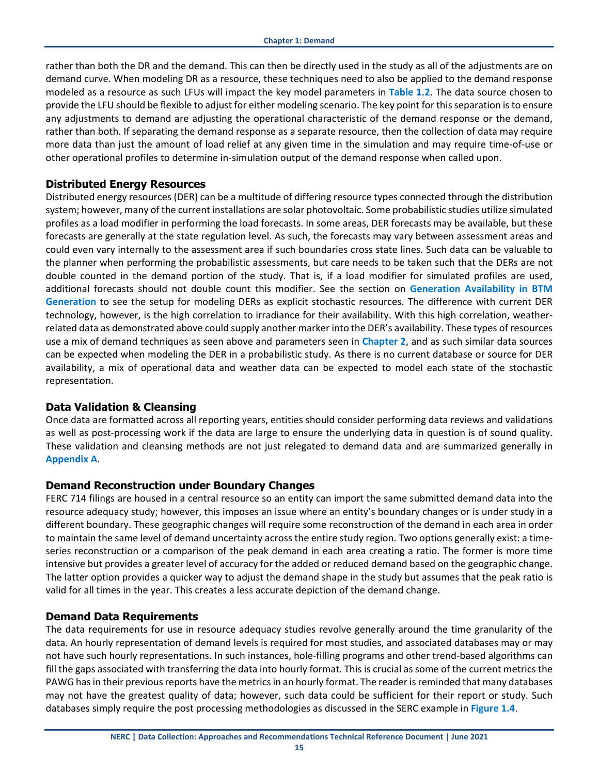rather than both the DR and the demand. This can then be directly used in the study as all of the adjustments are on demand curve. When modeling DR as a resource, these techniques need to also be applied to the demand response modeled as a resource as such LFUs will impact the key model parameters in **[Table 1.2](#page-13-1)**. The data source chosen to provide the LFU should be flexible to adjust for either modeling scenario. The key point for this separation is to ensure any adjustments to demand are adjusting the operational characteristic of the demand response or the demand, rather than both. If separating the demand response as a separate resource, then the collection of data may require more data than just the amount of load relief at any given time in the simulation and may require time-of-use or other operational profiles to determine in-simulation output of the demand response when called upon.

#### <span id="page-14-0"></span>**Distributed Energy Resources**

Distributed energy resources (DER) can be a multitude of differing resource types connected through the distribution system; however, many of the current installations are solar photovoltaic. Some probabilistic studies utilize simulated profiles as a load modifier in performing the load forecasts. In some areas, DER forecasts may be available, but these forecasts are generally at the state regulation level. As such, the forecasts may vary between assessment areas and could even vary internally to the assessment area if such boundaries cross state lines. Such data can be valuable to the planner when performing the probabilistic assessments, but care needs to be taken such that the DERs are not double counted in the demand portion of the study. That is, if a load modifier for simulated profiles are used, additional forecasts should not double count this modifier. See the section on **[Generation Availability in BTM](#page-19-1)  [Generation](#page-19-1)** to see the setup for modeling DERs as explicit stochastic resources. The difference with current DER technology, however, is the high correlation to irradiance for their availability. With this high correlation, weatherrelated data as demonstrated above could supply another marker into the DER's availability. These types of resources use a mix of demand techniques as seen above and parameters seen in **Chapter 2**, and as such similar data sources can be expected when modeling the DER in a probabilistic study. As there is no current database or source for DER availability, a mix of operational data and weather data can be expected to model each state of the stochastic representation.

### <span id="page-14-1"></span>**Data Validation & Cleansing**

Once data are formatted across all reporting years, entities should consider performing data reviews and validations as well as post-processing work if the data are large to ensure the underlying data in question is of sound quality. These validation and cleansing methods are not just relegated to demand data and are summarized generally in **[Appendix A](#page-32-0)**.

### <span id="page-14-2"></span>**Demand Reconstruction under Boundary Changes**

FERC 714 filings are housed in a central resource so an entity can import the same submitted demand data into the resource adequacy study; however, this imposes an issue where an entity's boundary changes or is under study in a different boundary. These geographic changes will require some reconstruction of the demand in each area in order to maintain the same level of demand uncertainty across the entire study region. Two options generally exist: a timeseries reconstruction or a comparison of the peak demand in each area creating a ratio. The former is more time intensive but provides a greater level of accuracy for the added or reduced demand based on the geographic change. The latter option provides a quicker way to adjust the demand shape in the study but assumes that the peak ratio is valid for all times in the year. This creates a less accurate depiction of the demand change.

### <span id="page-14-3"></span>**Demand Data Requirements**

The data requirements for use in resource adequacy studies revolve generally around the time granularity of the data. An hourly representation of demand levels is required for most studies, and associated databases may or may not have such hourly representations. In such instances, hole-filling programs and other trend-based algorithms can fill the gaps associated with transferring the data into hourly format. This is crucial as some of the current metrics the PAWG has in their previous reports have the metrics in an hourly format. The reader is reminded that many databases may not have the greatest quality of data; however, such data could be sufficient for their report or study. Such databases simply require the post processing methodologies as discussed in the SERC example in **[Figure 1.4](#page-12-3)**.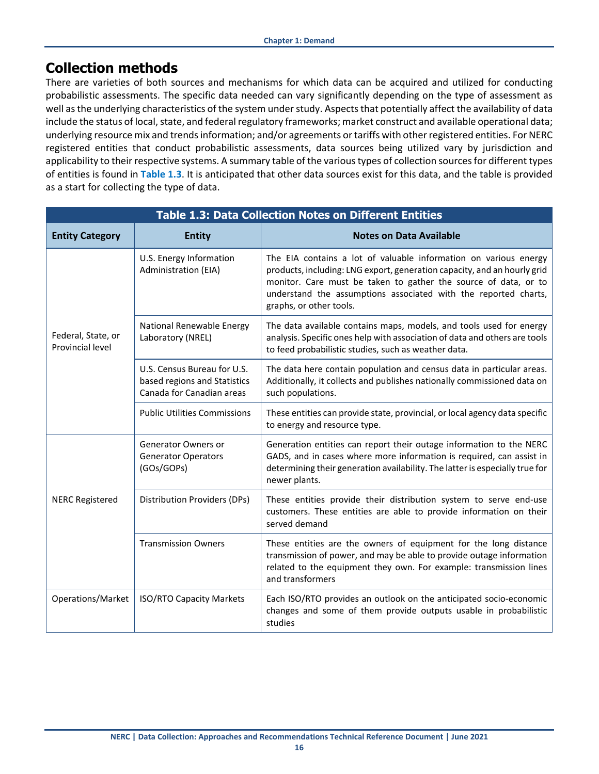## <span id="page-15-0"></span>**Collection methods**

There are varieties of both sources and mechanisms for which data can be acquired and utilized for conducting probabilistic assessments. The specific data needed can vary significantly depending on the type of assessment as well as the underlying characteristics of the system under study. Aspects that potentially affect the availability of data include the status of local, state, and federal regulatory frameworks; market construct and available operational data; underlying resource mix and trends information; and/or agreements or tariffs with other registered entities. For NERC registered entities that conduct probabilistic assessments, data sources being utilized vary by jurisdiction and applicability to their respective systems. A summary table of the various types of collection sources for different types of entities is found in **[Table 1.3](#page-15-1)**. It is anticipated that other data sources exist for this data, and the table is provided as a start for collecting the type of data.

<span id="page-15-1"></span>

| <b>Table 1.3: Data Collection Notes on Different Entities</b> |                                                                                          |                                                                                                                                                                                                                                                                                                               |  |  |  |  |  |  |  |  |
|---------------------------------------------------------------|------------------------------------------------------------------------------------------|---------------------------------------------------------------------------------------------------------------------------------------------------------------------------------------------------------------------------------------------------------------------------------------------------------------|--|--|--|--|--|--|--|--|
| <b>Entity Category</b>                                        | <b>Entity</b>                                                                            | <b>Notes on Data Available</b>                                                                                                                                                                                                                                                                                |  |  |  |  |  |  |  |  |
|                                                               | U.S. Energy Information<br>Administration (EIA)                                          | The EIA contains a lot of valuable information on various energy<br>products, including: LNG export, generation capacity, and an hourly grid<br>monitor. Care must be taken to gather the source of data, or to<br>understand the assumptions associated with the reported charts,<br>graphs, or other tools. |  |  |  |  |  |  |  |  |
| Federal, State, or<br>Provincial level                        | National Renewable Energy<br>Laboratory (NREL)                                           | The data available contains maps, models, and tools used for energy<br>analysis. Specific ones help with association of data and others are tools<br>to feed probabilistic studies, such as weather data.                                                                                                     |  |  |  |  |  |  |  |  |
|                                                               | U.S. Census Bureau for U.S.<br>based regions and Statistics<br>Canada for Canadian areas | The data here contain population and census data in particular areas.<br>Additionally, it collects and publishes nationally commissioned data on<br>such populations.                                                                                                                                         |  |  |  |  |  |  |  |  |
|                                                               | <b>Public Utilities Commissions</b>                                                      | These entities can provide state, provincial, or local agency data specific<br>to energy and resource type.                                                                                                                                                                                                   |  |  |  |  |  |  |  |  |
|                                                               | <b>Generator Owners or</b><br><b>Generator Operators</b><br>(GOs/GOPs)                   | Generation entities can report their outage information to the NERC<br>GADS, and in cases where more information is required, can assist in<br>determining their generation availability. The latter is especially true for<br>newer plants.                                                                  |  |  |  |  |  |  |  |  |
| <b>NERC Registered</b>                                        | Distribution Providers (DPs)                                                             | These entities provide their distribution system to serve end-use<br>customers. These entities are able to provide information on their<br>served demand                                                                                                                                                      |  |  |  |  |  |  |  |  |
|                                                               | <b>Transmission Owners</b>                                                               | These entities are the owners of equipment for the long distance<br>transmission of power, and may be able to provide outage information<br>related to the equipment they own. For example: transmission lines<br>and transformers                                                                            |  |  |  |  |  |  |  |  |
| Operations/Market                                             | <b>ISO/RTO Capacity Markets</b>                                                          | Each ISO/RTO provides an outlook on the anticipated socio-economic<br>changes and some of them provide outputs usable in probabilistic<br>studies                                                                                                                                                             |  |  |  |  |  |  |  |  |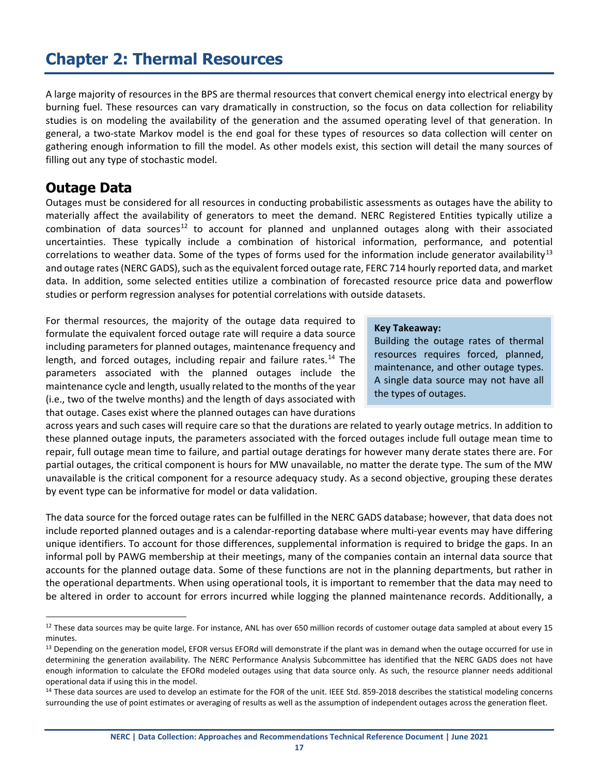# <span id="page-16-0"></span>**Chapter 2: Thermal Resources**

A large majority of resources in the BPS are thermal resources that convert chemical energy into electrical energy by burning fuel. These resources can vary dramatically in construction, so the focus on data collection for reliability studies is on modeling the availability of the generation and the assumed operating level of that generation. In general, a two-state Markov model is the end goal for these types of resources so data collection will center on gathering enough information to fill the model. As other models exist, this section will detail the many sources of filling out any type of stochastic model.

## <span id="page-16-1"></span>**Outage Data**

Outages must be considered for all resources in conducting probabilistic assessments as outages have the ability to materially affect the availability of generators to meet the demand. NERC Registered Entities typically utilize a combination of data sources<sup>[12](#page-16-2)</sup> to account for planned and unplanned outages along with their associated uncertainties. These typically include a combination of historical information, performance, and potential correlations to weather data. Some of the types of forms used for the information include generator availability<sup>[13](#page-16-3)</sup> and outage rates (NERC GADS), such as the equivalent forced outage rate, FERC 714 hourly reported data, and market data. In addition, some selected entities utilize a combination of forecasted resource price data and powerflow studies or perform regression analyses for potential correlations with outside datasets.

For thermal resources, the majority of the outage data required to formulate the equivalent forced outage rate will require a data source including parameters for planned outages, maintenance frequency and length, and forced outages, including repair and failure rates.<sup>[14](#page-16-4)</sup> The parameters associated with the planned outages include the maintenance cycle and length, usually related to the months of the year (i.e., two of the twelve months) and the length of days associated with that outage. Cases exist where the planned outages can have durations

#### **Key Takeaway:**

Building the outage rates of thermal resources requires forced, planned, maintenance, and other outage types. A single data source may not have all the types of outages.

across years and such cases will require care so that the durations are related to yearly outage metrics. In addition to these planned outage inputs, the parameters associated with the forced outages include full outage mean time to repair, full outage mean time to failure, and partial outage deratings for however many derate states there are. For partial outages, the critical component is hours for MW unavailable, no matter the derate type. The sum of the MW unavailable is the critical component for a resource adequacy study. As a second objective, grouping these derates by event type can be informative for model or data validation.

The data source for the forced outage rates can be fulfilled in the NERC GADS database; however, that data does not include reported planned outages and is a calendar-reporting database where multi-year events may have differing unique identifiers. To account for those differences, supplemental information is required to bridge the gaps. In an informal poll by PAWG membership at their meetings, many of the companies contain an internal data source that accounts for the planned outage data. Some of these functions are not in the planning departments, but rather in the operational departments. When using operational tools, it is important to remember that the data may need to be altered in order to account for errors incurred while logging the planned maintenance records. Additionally, a

<span id="page-16-2"></span> $12$  These data sources may be quite large. For instance, ANL has over 650 million records of customer outage data sampled at about every 15 minutes.

<span id="page-16-3"></span><sup>&</sup>lt;sup>13</sup> Depending on the generation model, EFOR versus EFORd will demonstrate if the plant was in demand when the outage occurred for use in determining the generation availability. The NERC Performance Analysis Subcommittee has identified that the NERC GADS does not have enough information to calculate the EFORd modeled outages using that data source only. As such, the resource planner needs additional operational data if using this in the model.

<span id="page-16-4"></span><sup>&</sup>lt;sup>14</sup> These data sources are used to develop an estimate for the FOR of the unit. IEEE Std. 859-2018 describes the statistical modeling concerns surrounding the use of point estimates or averaging of results as well as the assumption of independent outages across the generation fleet.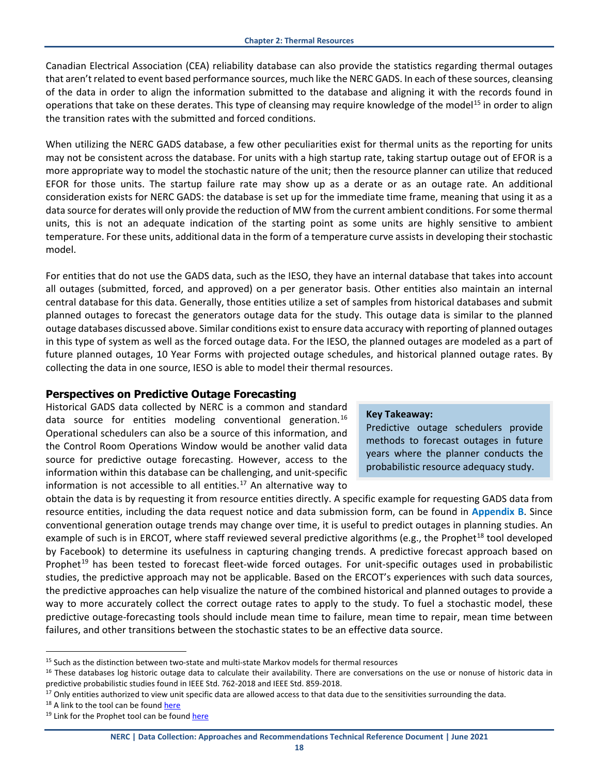Canadian Electrical Association (CEA) reliability database can also provide the statistics regarding thermal outages that aren't related to event based performance sources, much like the NERC GADS. In each of these sources, cleansing of the data in order to align the information submitted to the database and aligning it with the records found in operations that take on these derates. This type of cleansing may require knowledge of the model<sup>[15](#page-17-1)</sup> in order to align the transition rates with the submitted and forced conditions.

When utilizing the NERC GADS database, a few other peculiarities exist for thermal units as the reporting for units may not be consistent across the database. For units with a high startup rate, taking startup outage out of EFOR is a more appropriate way to model the stochastic nature of the unit; then the resource planner can utilize that reduced EFOR for those units. The startup failure rate may show up as a derate or as an outage rate. An additional consideration exists for NERC GADS: the database is set up for the immediate time frame, meaning that using it as a data source for derates will only provide the reduction of MW from the current ambient conditions. For some thermal units, this is not an adequate indication of the starting point as some units are highly sensitive to ambient temperature. For these units, additional data in the form of a temperature curve assists in developing their stochastic model.

For entities that do not use the GADS data, such as the IESO, they have an internal database that takes into account all outages (submitted, forced, and approved) on a per generator basis. Other entities also maintain an internal central database for this data. Generally, those entities utilize a set of samples from historical databases and submit planned outages to forecast the generators outage data for the study. This outage data is similar to the planned outage databases discussed above. Similar conditions exist to ensure data accuracy with reporting of planned outages in this type of system as well as the forced outage data. For the IESO, the planned outages are modeled as a part of future planned outages, 10 Year Forms with projected outage schedules, and historical planned outage rates. By collecting the data in one source, IESO is able to model their thermal resources.

### <span id="page-17-0"></span>**Perspectives on Predictive Outage Forecasting**

Historical GADS data collected by NERC is a common and standard data source for entities modeling conventional generation.<sup>[16](#page-17-2)</sup> Operational schedulers can also be a source of this information, and the Control Room Operations Window would be another valid data source for predictive outage forecasting. However, access to the information within this database can be challenging, and unit-specific information is not accessible to all entities. [17](#page-17-3) An alternative way to

#### **Key Takeaway:**

Predictive outage schedulers provide methods to forecast outages in future years where the planner conducts the probabilistic resource adequacy study.

obtain the data is by requesting it from resource entities directly. A specific example for requesting GADS data from resource entities, including the data request notice and data submission form, can be found in **[Appendix B](#page-34-0)**. Since conventional generation outage trends may change over time, it is useful to predict outages in planning studies. An example of such is in ERCOT, where staff reviewed several predictive algorithms (e.g., the Prophet<sup>[18](#page-17-4)</sup> tool developed by Facebook) to determine its usefulness in capturing changing trends. A predictive forecast approach based on Prophet<sup>[19](#page-17-5)</sup> has been tested to forecast fleet-wide forced outages. For unit-specific outages used in probabilistic studies, the predictive approach may not be applicable. Based on the ERCOT's experiences with such data sources, the predictive approaches can help visualize the nature of the combined historical and planned outages to provide a way to more accurately collect the correct outage rates to apply to the study. To fuel a stochastic model, these predictive outage-forecasting tools should include mean time to failure, mean time to repair, mean time between failures, and other transitions between the stochastic states to be an effective data source.

<span id="page-17-1"></span><sup>&</sup>lt;sup>15</sup> Such as the distinction between two-state and multi-state Markov models for thermal resources

<span id="page-17-2"></span><sup>&</sup>lt;sup>16</sup> These databases log historic outage data to calculate their availability. There are conversations on the use or nonuse of historic data in

<span id="page-17-3"></span>predictive probabilistic studies found in IEEE Std. 762-2018 and IEEE Std. 859-2018.<br><sup>17</sup> Only entities authorized to view unit specific data are allowed access to that data due to the sensitivities surrounding the data.

<span id="page-17-4"></span><sup>&</sup>lt;sup>18</sup> A link to the tool can be foun[d here](https://facebook.github.io/prophet/)

<span id="page-17-5"></span><sup>&</sup>lt;sup>19</sup> Link for the Prophet tool can be foun[d here](https://facebook.github.io/prophet/)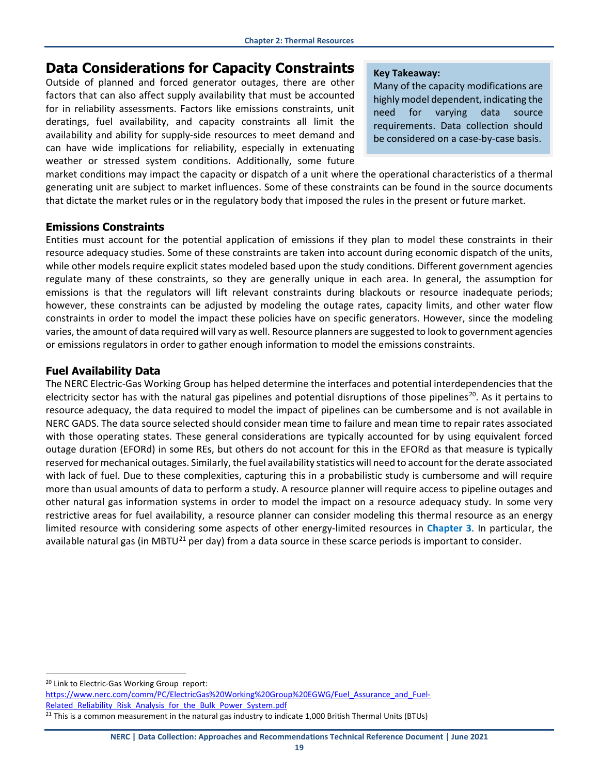## <span id="page-18-0"></span>**Data Considerations for Capacity Constraints**

Outside of planned and forced generator outages, there are other factors that can also affect supply availability that must be accounted for in reliability assessments. Factors like emissions constraints, unit deratings, fuel availability, and capacity constraints all limit the availability and ability for supply-side resources to meet demand and can have wide implications for reliability, especially in extenuating weather or stressed system conditions. Additionally, some future

#### **Key Takeaway:**

Many of the capacity modifications are highly model dependent, indicating the need for varying data source requirements. Data collection should be considered on a case-by-case basis.

market conditions may impact the capacity or dispatch of a unit where the operational characteristics of a thermal generating unit are subject to market influences. Some of these constraints can be found in the source documents that dictate the market rules or in the regulatory body that imposed the rules in the present or future market.

### <span id="page-18-1"></span>**Emissions Constraints**

Entities must account for the potential application of emissions if they plan to model these constraints in their resource adequacy studies. Some of these constraints are taken into account during economic dispatch of the units, while other models require explicit states modeled based upon the study conditions. Different government agencies regulate many of these constraints, so they are generally unique in each area. In general, the assumption for emissions is that the regulators will lift relevant constraints during blackouts or resource inadequate periods; however, these constraints can be adjusted by modeling the outage rates, capacity limits, and other water flow constraints in order to model the impact these policies have on specific generators. However, since the modeling varies, the amount of data required will vary as well. Resource planners are suggested to look to government agencies or emissions regulators in order to gather enough information to model the emissions constraints.

### <span id="page-18-2"></span>**Fuel Availability Data**

The NERC Electric-Gas Working Group has helped determine the interfaces and potential interdependencies that the electricity sector has with the natural gas pipelines and potential disruptions of those pipelines<sup>20</sup>. As it pertains to resource adequacy, the data required to model the impact of pipelines can be cumbersome and is not available in NERC GADS. The data source selected should consider mean time to failure and mean time to repair rates associated with those operating states. These general considerations are typically accounted for by using equivalent forced outage duration (EFORd) in some REs, but others do not account for this in the EFORd as that measure is typically reserved for mechanical outages. Similarly, the fuel availability statistics will need to account for the derate associated with lack of fuel. Due to these complexities, capturing this in a probabilistic study is cumbersome and will require more than usual amounts of data to perform a study. A resource planner will require access to pipeline outages and other natural gas information systems in order to model the impact on a resource adequacy study. In some very restrictive areas for fuel availability, a resource planner can consider modeling this thermal resource as an energy limited resource with considering some aspects of other energy-limited resources in **[Chapter 3](#page-20-0)**. In particular, the available natural gas (in MBTU $^{21}$  $^{21}$  $^{21}$  per day) from a data source in these scarce periods is important to consider.

<span id="page-18-3"></span><sup>&</sup>lt;sup>20</sup> Link to Electric-Gas Working Group report:

[https://www.nerc.com/comm/PC/ElectricGas%20Working%20Group%20EGWG/Fuel\\_Assurance\\_and\\_Fuel-](https://www.nerc.com/comm/PC/ElectricGas%20Working%20Group%20EGWG/Fuel_Assurance_and_Fuel-Related_Reliability_Risk_Analysis_for_the_Bulk_Power_System.pdf)Related Reliability Risk Analysis for the Bulk Power System.pdf

<span id="page-18-4"></span><sup>&</sup>lt;sup>21</sup> This is a common measurement in the natural gas industry to indicate 1,000 British Thermal Units (BTUs)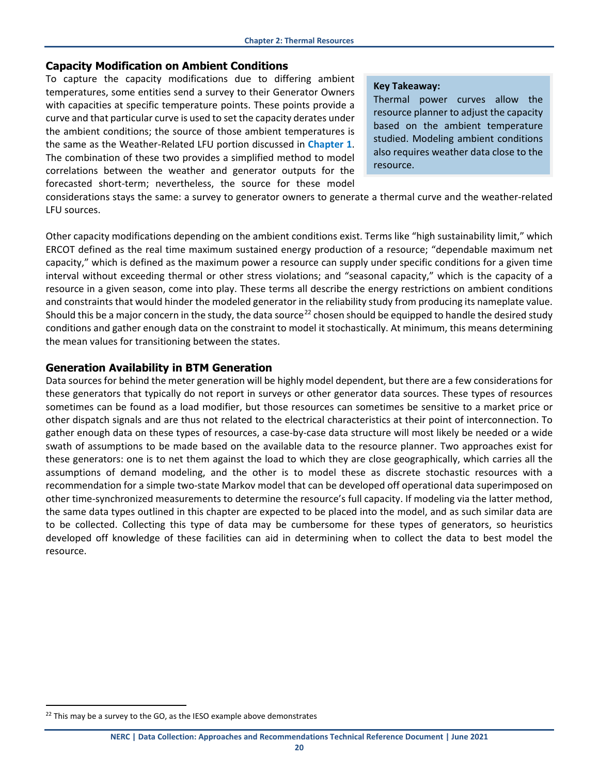#### <span id="page-19-0"></span>**Capacity Modification on Ambient Conditions**

To capture the capacity modifications due to differing ambient temperatures, some entities send a survey to their Generator Owners with capacities at specific temperature points. These points provide a curve and that particular curve is used to set the capacity derates under the ambient conditions; the source of those ambient temperatures is the same as the Weather-Related LFU portion discussed in **[Chapter 1](#page-8-0)**. The combination of these two provides a simplified method to model correlations between the weather and generator outputs for the forecasted short-term; nevertheless, the source for these model

#### **Key Takeaway:**

Thermal power curves allow the resource planner to adjust the capacity based on the ambient temperature studied. Modeling ambient conditions also requires weather data close to the resource.

considerations stays the same: a survey to generator owners to generate a thermal curve and the weather-related LFU sources.

Other capacity modifications depending on the ambient conditions exist. Terms like "high sustainability limit," which ERCOT defined as the real time maximum sustained energy production of a resource; "dependable maximum net capacity," which is defined as the maximum power a resource can supply under specific conditions for a given time interval without exceeding thermal or other stress violations; and "seasonal capacity," which is the capacity of a resource in a given season, come into play. These terms all describe the energy restrictions on ambient conditions and constraints that would hinder the modeled generator in the reliability study from producing its nameplate value. Should this be a major concern in the study, the data source<sup>[22](#page-19-2)</sup> chosen should be equipped to handle the desired study conditions and gather enough data on the constraint to model it stochastically. At minimum, this means determining the mean values for transitioning between the states.

#### <span id="page-19-1"></span>**Generation Availability in BTM Generation**

Data sources for behind the meter generation will be highly model dependent, but there are a few considerations for these generators that typically do not report in surveys or other generator data sources. These types of resources sometimes can be found as a load modifier, but those resources can sometimes be sensitive to a market price or other dispatch signals and are thus not related to the electrical characteristics at their point of interconnection. To gather enough data on these types of resources, a case-by-case data structure will most likely be needed or a wide swath of assumptions to be made based on the available data to the resource planner. Two approaches exist for these generators: one is to net them against the load to which they are close geographically, which carries all the assumptions of demand modeling, and the other is to model these as discrete stochastic resources with a recommendation for a simple two-state Markov model that can be developed off operational data superimposed on other time-synchronized measurements to determine the resource's full capacity. If modeling via the latter method, the same data types outlined in this chapter are expected to be placed into the model, and as such similar data are to be collected. Collecting this type of data may be cumbersome for these types of generators, so heuristics developed off knowledge of these facilities can aid in determining when to collect the data to best model the resource.

<span id="page-19-2"></span> $22$  This may be a survey to the GO, as the IESO example above demonstrates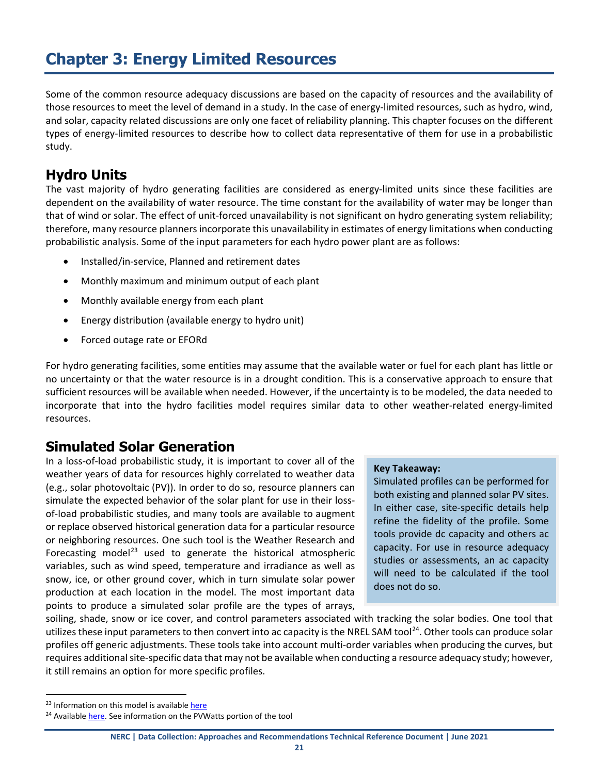# <span id="page-20-0"></span>**Chapter 3: Energy Limited Resources**

Some of the common resource adequacy discussions are based on the capacity of resources and the availability of those resources to meet the level of demand in a study. In the case of energy-limited resources, such as hydro, wind, and solar, capacity related discussions are only one facet of reliability planning. This chapter focuses on the different types of energy-limited resources to describe how to collect data representative of them for use in a probabilistic study.

## <span id="page-20-1"></span>**Hydro Units**

The vast majority of hydro generating facilities are considered as energy-limited units since these facilities are dependent on the availability of water resource. The time constant for the availability of water may be longer than that of wind or solar. The effect of unit-forced unavailability is not significant on hydro generating system reliability; therefore, many resource planners incorporate this unavailability in estimates of energy limitations when conducting probabilistic analysis. Some of the input parameters for each hydro power plant are as follows:

- Installed/in-service, Planned and retirement dates
- Monthly maximum and minimum output of each plant
- Monthly available energy from each plant
- Energy distribution (available energy to hydro unit)
- Forced outage rate or EFORd

For hydro generating facilities, some entities may assume that the available water or fuel for each plant has little or no uncertainty or that the water resource is in a drought condition. This is a conservative approach to ensure that sufficient resources will be available when needed. However, if the uncertainty is to be modeled, the data needed to incorporate that into the hydro facilities model requires similar data to other weather-related energy-limited resources.

## <span id="page-20-2"></span>**Simulated Solar Generation**

In a loss-of-load probabilistic study, it is important to cover all of the weather years of data for resources highly correlated to weather data (e.g., solar photovoltaic (PV)). In order to do so, resource planners can simulate the expected behavior of the solar plant for use in their lossof-load probabilistic studies, and many tools are available to augment or replace observed historical generation data for a particular resource or neighboring resources. One such tool is the Weather Research and Forecasting model<sup>[23](#page-20-3)</sup> used to generate the historical atmospheric variables, such as wind speed, temperature and irradiance as well as snow, ice, or other ground cover, which in turn simulate solar power production at each location in the model. The most important data points to produce a simulated solar profile are the types of arrays,

#### **Key Takeaway:**

Simulated profiles can be performed for both existing and planned solar PV sites. In either case, site-specific details help refine the fidelity of the profile. Some tools provide dc capacity and others ac capacity. For use in resource adequacy studies or assessments, an ac capacity will need to be calculated if the tool does not do so.

soiling, shade, snow or ice cover, and control parameters associated with tracking the solar bodies. One tool that utilizes these input parameters to then convert into ac capacity is the NREL SAM tool<sup>24</sup>. Other tools can produce solar profiles off generic adjustments. These tools take into account multi-order variables when producing the curves, but requires additional site-specific data that may not be available when conducting a resource adequacy study; however, it still remains an option for more specific profiles.

<span id="page-20-3"></span><sup>&</sup>lt;sup>23</sup> Information on this model is available [here](https://www2.mmm.ucar.edu/wrf/users/)

<span id="page-20-4"></span><sup>&</sup>lt;sup>24</sup> Availabl[e here.](https://sam.nrel.gov/photovoltaic.html) See information on the PVWatts portion of the tool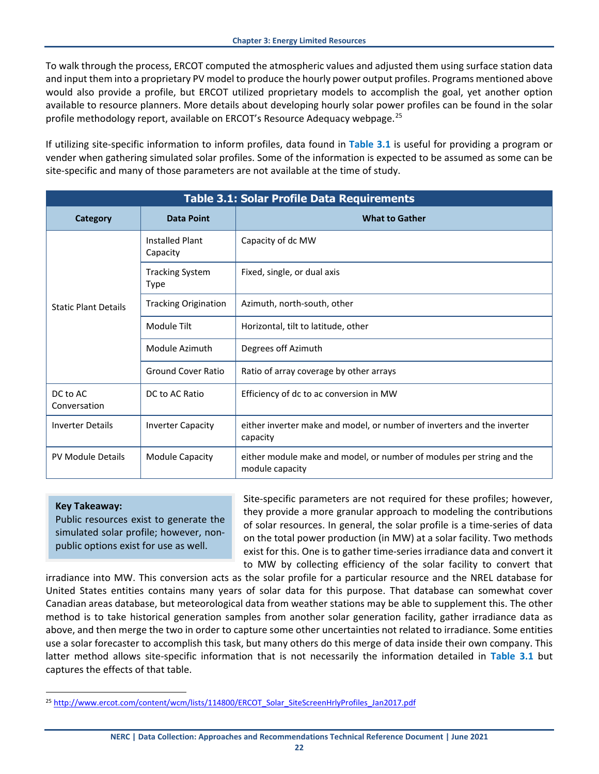To walk through the process, ERCOT computed the atmospheric values and adjusted them using surface station data and input them into a proprietary PV model to produce the hourly power output profiles. Programs mentioned above would also provide a profile, but ERCOT utilized proprietary models to accomplish the goal, yet another option available to resource planners. More details about developing hourly solar power profiles can be found in the solar profile methodology report, available on ERCOT's Resource Adequacy webpage.<sup>[25](#page-21-1)</sup>

If utilizing site-specific information to inform profiles, data found in **[Table 3.1](#page-21-0)** is useful for providing a program or vender when gathering simulated solar profiles. Some of the information is expected to be assumed as some can be site-specific and many of those parameters are not available at the time of study.

<span id="page-21-0"></span>

|                             | <b>Table 3.1: Solar Profile Data Requirements</b> |                                                                                          |  |  |  |  |  |  |  |  |  |
|-----------------------------|---------------------------------------------------|------------------------------------------------------------------------------------------|--|--|--|--|--|--|--|--|--|
| Category                    | <b>Data Point</b>                                 | <b>What to Gather</b>                                                                    |  |  |  |  |  |  |  |  |  |
|                             | Installed Plant<br>Capacity                       | Capacity of dc MW                                                                        |  |  |  |  |  |  |  |  |  |
|                             | <b>Tracking System</b><br>Type                    | Fixed, single, or dual axis                                                              |  |  |  |  |  |  |  |  |  |
| <b>Static Plant Details</b> | <b>Tracking Origination</b>                       | Azimuth, north-south, other                                                              |  |  |  |  |  |  |  |  |  |
|                             | Module Tilt                                       | Horizontal, tilt to latitude, other                                                      |  |  |  |  |  |  |  |  |  |
|                             | Module Azimuth                                    | Degrees off Azimuth                                                                      |  |  |  |  |  |  |  |  |  |
|                             | <b>Ground Cover Ratio</b>                         | Ratio of array coverage by other arrays                                                  |  |  |  |  |  |  |  |  |  |
| DC to AC<br>Conversation    | DC to AC Ratio                                    | Efficiency of dc to ac conversion in MW                                                  |  |  |  |  |  |  |  |  |  |
| <b>Inverter Details</b>     | <b>Inverter Capacity</b>                          | either inverter make and model, or number of inverters and the inverter<br>capacity      |  |  |  |  |  |  |  |  |  |
| <b>PV Module Details</b>    | <b>Module Capacity</b>                            | either module make and model, or number of modules per string and the<br>module capacity |  |  |  |  |  |  |  |  |  |

#### **Key Takeaway:**

Public resources exist to generate the simulated solar profile; however, nonpublic options exist for use as well.

Site-specific parameters are not required for these profiles; however, they provide a more granular approach to modeling the contributions of solar resources. In general, the solar profile is a time-series of data on the total power production (in MW) at a solar facility. Two methods exist for this. One is to gather time-series irradiance data and convert it to MW by collecting efficiency of the solar facility to convert that

irradiance into MW. This conversion acts as the solar profile for a particular resource and the NREL database for United States entities contains many years of solar data for this purpose. That database can somewhat cover Canadian areas database, but meteorological data from weather stations may be able to supplement this. The other method is to take historical generation samples from another solar generation facility, gather irradiance data as above, and then merge the two in order to capture some other uncertainties not related to irradiance. Some entities use a solar forecaster to accomplish this task, but many others do this merge of data inside their own company. This latter method allows site-specific information that is not necessarily the information detailed in **[Table 3.1](#page-21-0)** but captures the effects of that table.

<span id="page-21-1"></span><sup>&</sup>lt;sup>25</sup> [http://www.ercot.com/content/wcm/lists/114800/ERCOT\\_Solar\\_SiteScreenHrlyProfiles\\_Jan2017.pdf](http://www.ercot.com/content/wcm/lists/114800/ERCOT_Solar_SiteScreenHrlyProfiles_Jan2017.pdf)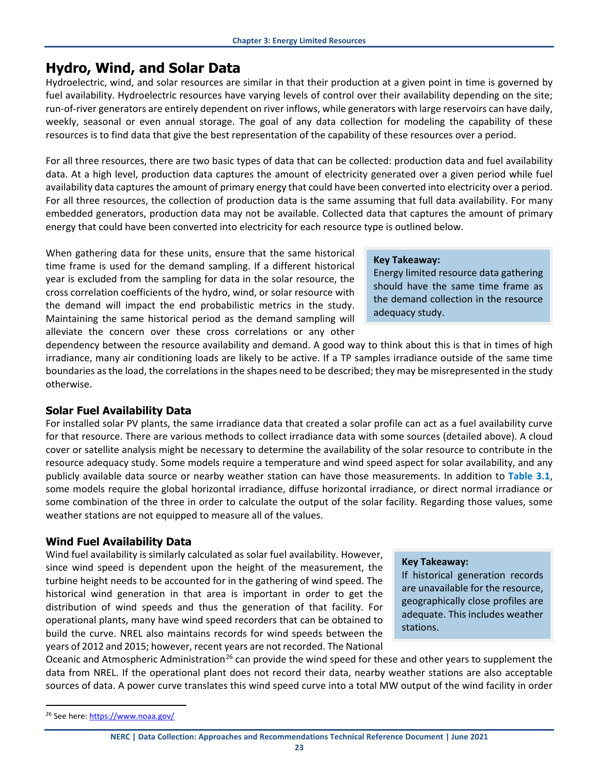## <span id="page-22-0"></span>**Hydro, Wind, and Solar Data**

Hydroelectric, wind, and solar resources are similar in that their production at a given point in time is governed by fuel availability. Hydroelectric resources have varying levels of control over their availability depending on the site; run-of-river generators are entirely dependent on river inflows, while generators with large reservoirs can have daily, weekly, seasonal or even annual storage. The goal of any data collection for modeling the capability of these resources is to find data that give the best representation of the capability of these resources over a period.

For all three resources, there are two basic types of data that can be collected: production data and fuel availability data. At a high level, production data captures the amount of electricity generated over a given period while fuel availability data captures the amount of primary energy that could have been converted into electricity over a period. For all three resources, the collection of production data is the same assuming that full data availability. For many embedded generators, production data may not be available. Collected data that captures the amount of primary energy that could have been converted into electricity for each resource type is outlined below.

When gathering data for these units, ensure that the same historical time frame is used for the demand sampling. If a different historical year is excluded from the sampling for data in the solar resource, the cross correlation coefficients of the hydro, wind, or solar resource with the demand will impact the end probabilistic metrics in the study. Maintaining the same historical period as the demand sampling will alleviate the concern over these cross correlations or any other

## dependency between the resource availability and demand. A good way to think about this is that in times of high irradiance, many air conditioning loads are likely to be active. If a TP samples irradiance outside of the same time boundaries as the load, the correlations in the shapes need to be described; they may be misrepresented in the study otherwise.

## <span id="page-22-1"></span>**Solar Fuel Availability Data**

For installed solar PV plants, the same irradiance data that created a solar profile can act as a fuel availability curve for that resource. There are various methods to collect irradiance data with some sources (detailed above). A cloud cover or satellite analysis might be necessary to determine the availability of the solar resource to contribute in the resource adequacy study. Some models require a temperature and wind speed aspect for solar availability, and any publicly available data source or nearby weather station can have those measurements. In addition to **Table 3.1**, some models require the global horizontal irradiance, diffuse horizontal irradiance, or direct normal irradiance or some combination of the three in order to calculate the output of the solar facility. Regarding those values, some weather stations are not equipped to measure all of the values.

## <span id="page-22-2"></span>**Wind Fuel Availability Data**

Wind fuel availability is similarly calculated as solar fuel availability. However, since wind speed is dependent upon the height of the measurement, the turbine height needs to be accounted for in the gathering of wind speed. The historical wind generation in that area is important in order to get the distribution of wind speeds and thus the generation of that facility. For operational plants, many have wind speed recorders that can be obtained to build the curve. NREL also maintains records for wind speeds between the years of 2012 and 2015; however, recent years are not recorded. The National

#### **Key Takeaway:**

If historical generation records are unavailable for the resource, geographically close profiles are adequate. This includes weather stations.

Oceanic and Atmospheric Administration<sup>[26](#page-22-3)</sup> can provide the wind speed for these and other years to supplement the data from NREL. If the operational plant does not record their data, nearby weather stations are also acceptable sources of data. A power curve translates this wind speed curve into a total MW output of the wind facility in order

#### **NERC | Data Collection: Approaches and Recommendations Technical Reference Document | June 2021**

## **Key Takeaway:**

Energy limited resource data gathering should have the same time frame as the demand collection in the resource adequacy study.

<span id="page-22-3"></span><sup>&</sup>lt;sup>26</sup> See here: https://www.noaa.gov/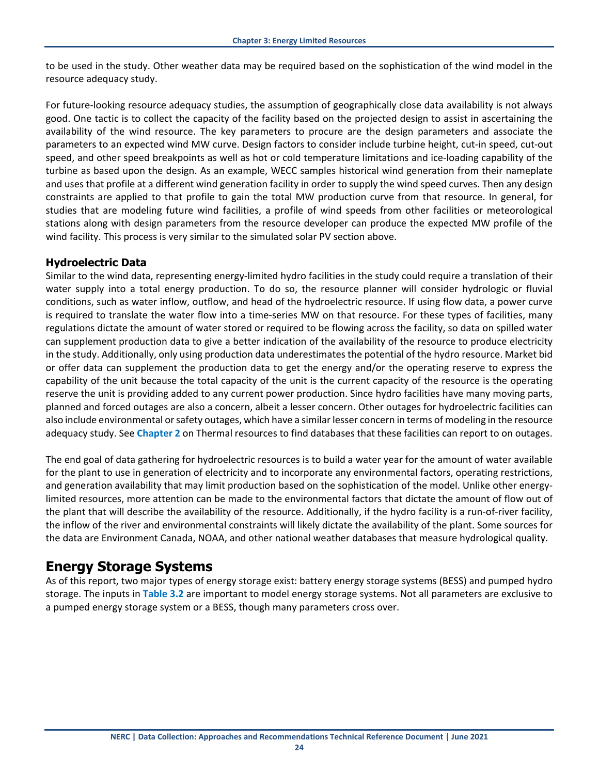to be used in the study. Other weather data may be required based on the sophistication of the wind model in the resource adequacy study.

For future-looking resource adequacy studies, the assumption of geographically close data availability is not always good. One tactic is to collect the capacity of the facility based on the projected design to assist in ascertaining the availability of the wind resource. The key parameters to procure are the design parameters and associate the parameters to an expected wind MW curve. Design factors to consider include turbine height, cut-in speed, cut-out speed, and other speed breakpoints as well as hot or cold temperature limitations and ice-loading capability of the turbine as based upon the design. As an example, WECC samples historical wind generation from their nameplate and uses that profile at a different wind generation facility in order to supply the wind speed curves. Then any design constraints are applied to that profile to gain the total MW production curve from that resource. In general, for studies that are modeling future wind facilities, a profile of wind speeds from other facilities or meteorological stations along with design parameters from the resource developer can produce the expected MW profile of the wind facility. This process is very similar to the simulated solar PV section above.

## <span id="page-23-0"></span>**Hydroelectric Data**

Similar to the wind data, representing energy-limited hydro facilities in the study could require a translation of their water supply into a total energy production. To do so, the resource planner will consider hydrologic or fluvial conditions, such as water inflow, outflow, and head of the hydroelectric resource. If using flow data, a power curve is required to translate the water flow into a time-series MW on that resource. For these types of facilities, many regulations dictate the amount of water stored or required to be flowing across the facility, so data on spilled water can supplement production data to give a better indication of the availability of the resource to produce electricity in the study. Additionally, only using production data underestimates the potential of the hydro resource. Market bid or offer data can supplement the production data to get the energy and/or the operating reserve to express the capability of the unit because the total capacity of the unit is the current capacity of the resource is the operating reserve the unit is providing added to any current power production. Since hydro facilities have many moving parts, planned and forced outages are also a concern, albeit a lesser concern. Other outages for hydroelectric facilities can also include environmental or safety outages, which have a similar lesser concern in terms of modeling in the resource adequacy study. See **[Chapter 2](#page-8-0)** on Thermal resources to find databases that these facilities can report to on outages.

The end goal of data gathering for hydroelectric resources is to build a water year for the amount of water available for the plant to use in generation of electricity and to incorporate any environmental factors, operating restrictions, and generation availability that may limit production based on the sophistication of the model. Unlike other energylimited resources, more attention can be made to the environmental factors that dictate the amount of flow out of the plant that will describe the availability of the resource. Additionally, if the hydro facility is a run-of-river facility, the inflow of the river and environmental constraints will likely dictate the availability of the plant. Some sources for the data are Environment Canada, NOAA, and other national weather databases that measure hydrological quality.

## <span id="page-23-1"></span>**Energy Storage Systems**

As of this report, two major types of energy storage exist: battery energy storage systems (BESS) and pumped hydro storage. The inputs in **[Table 3.2](#page-24-0)** are important to model energy storage systems. Not all parameters are exclusive to a pumped energy storage system or a BESS, though many parameters cross over.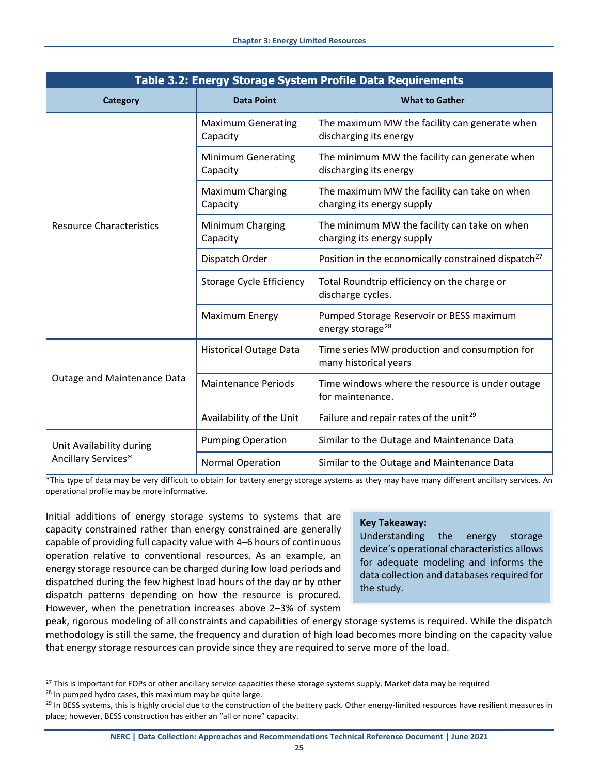<span id="page-24-0"></span>

| Table 3.2: Energy Storage System Profile Data Requirements |                                       |                                                                            |  |  |  |  |  |  |  |
|------------------------------------------------------------|---------------------------------------|----------------------------------------------------------------------------|--|--|--|--|--|--|--|
| Category                                                   | <b>Data Point</b>                     | <b>What to Gather</b>                                                      |  |  |  |  |  |  |  |
|                                                            | <b>Maximum Generating</b><br>Capacity | The maximum MW the facility can generate when<br>discharging its energy    |  |  |  |  |  |  |  |
|                                                            | <b>Minimum Generating</b><br>Capacity | The minimum MW the facility can generate when<br>discharging its energy    |  |  |  |  |  |  |  |
|                                                            | <b>Maximum Charging</b><br>Capacity   | The maximum MW the facility can take on when<br>charging its energy supply |  |  |  |  |  |  |  |
| <b>Resource Characteristics</b>                            | Minimum Charging<br>Capacity          | The minimum MW the facility can take on when<br>charging its energy supply |  |  |  |  |  |  |  |
|                                                            | Dispatch Order                        | Position in the economically constrained dispatch <sup>27</sup>            |  |  |  |  |  |  |  |
|                                                            | <b>Storage Cycle Efficiency</b>       | Total Roundtrip efficiency on the charge or<br>discharge cycles.           |  |  |  |  |  |  |  |
|                                                            | Maximum Energy                        | Pumped Storage Reservoir or BESS maximum<br>energy storage <sup>28</sup>   |  |  |  |  |  |  |  |
|                                                            | <b>Historical Outage Data</b>         | Time series MW production and consumption for<br>many historical years     |  |  |  |  |  |  |  |
| Outage and Maintenance Data                                | <b>Maintenance Periods</b>            | Time windows where the resource is under outage<br>for maintenance.        |  |  |  |  |  |  |  |
|                                                            | Availability of the Unit              | Failure and repair rates of the unit <sup>29</sup>                         |  |  |  |  |  |  |  |
| Unit Availability during                                   | <b>Pumping Operation</b>              | Similar to the Outage and Maintenance Data                                 |  |  |  |  |  |  |  |
| Ancillary Services*                                        | Normal Operation                      | Similar to the Outage and Maintenance Data                                 |  |  |  |  |  |  |  |

\*This type of data may be very difficult to obtain for battery energy storage systems as they may have many different ancillary services. An operational profile may be more informative.

Initial additions of energy storage systems to systems that are capacity constrained rather than energy constrained are generally capable of providing full capacity value with 4–6 hours of continuous operation relative to conventional resources. As an example, an energy storage resource can be charged during low load periods and dispatched during the few highest load hours of the day or by other dispatch patterns depending on how the resource is procured. However, when the penetration increases above 2–3% of system

#### **Key Takeaway:**

Understanding the energy storage device's operational characteristics allows for adequate modeling and informs the data collection and databases required for the study.

peak, rigorous modeling of all constraints and capabilities of energy storage systems is required. While the dispatch methodology is still the same, the frequency and duration of high load becomes more binding on the capacity value that energy storage resources can provide since they are required to serve more of the load.

**NERC | Data Collection: Approaches and Recommendations Technical Reference Document | June 2021**

<span id="page-24-1"></span><sup>&</sup>lt;sup>27</sup> This is important for EOPs or other ancillary service capacities these storage systems supply. Market data may be required

<span id="page-24-3"></span><span id="page-24-2"></span><sup>&</sup>lt;sup>28</sup> In pumped hydro cases, this maximum may be quite large.<br><sup>29</sup> In BESS systems, this is highly crucial due to the construction of the battery pack. Other energy-limited resources have resilient measures in place; however, BESS construction has either an "all or none" capacity.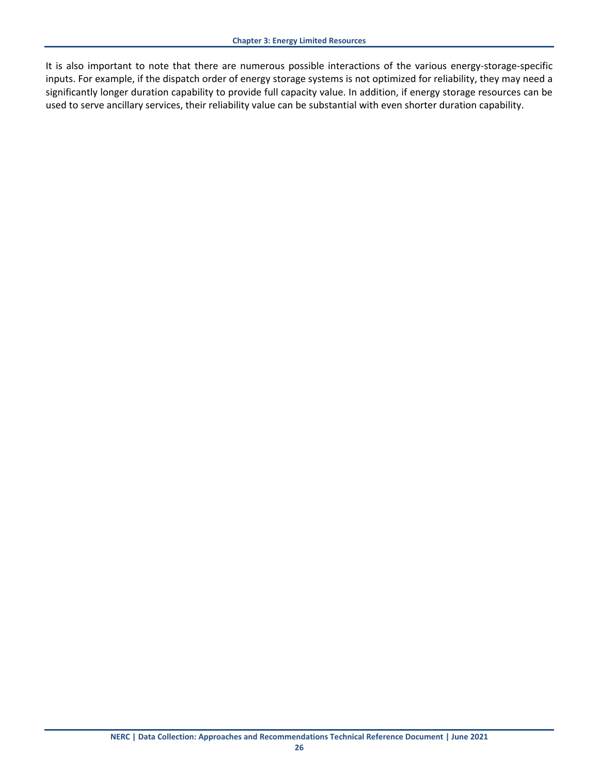It is also important to note that there are numerous possible interactions of the various energy-storage-specific inputs. For example, if the dispatch order of energy storage systems is not optimized for reliability, they may need a significantly longer duration capability to provide full capacity value. In addition, if energy storage resources can be used to serve ancillary services, their reliability value can be substantial with even shorter duration capability.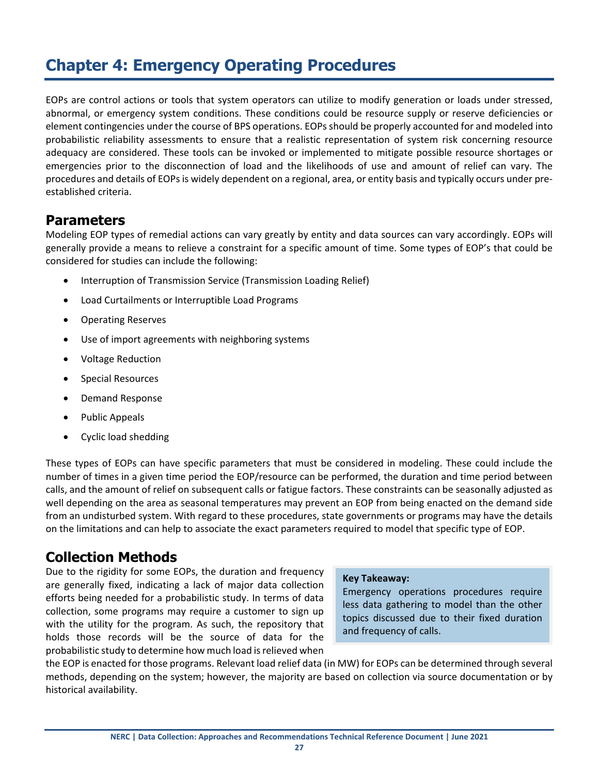# <span id="page-26-0"></span>**Chapter 4: Emergency Operating Procedures**

EOPs are control actions or tools that system operators can utilize to modify generation or loads under stressed, abnormal, or emergency system conditions. These conditions could be resource supply or reserve deficiencies or element contingencies under the course of BPS operations. EOPs should be properly accounted for and modeled into probabilistic reliability assessments to ensure that a realistic representation of system risk concerning resource adequacy are considered. These tools can be invoked or implemented to mitigate possible resource shortages or emergencies prior to the disconnection of load and the likelihoods of use and amount of relief can vary. The procedures and details of EOPs is widely dependent on a regional, area, or entity basis and typically occurs under preestablished criteria.

## <span id="page-26-1"></span>**Parameters**

Modeling EOP types of remedial actions can vary greatly by entity and data sources can vary accordingly. EOPs will generally provide a means to relieve a constraint for a specific amount of time. Some types of EOP's that could be considered for studies can include the following:

- Interruption of Transmission Service (Transmission Loading Relief)
- Load Curtailments or Interruptible Load Programs
- Operating Reserves
- Use of import agreements with neighboring systems
- Voltage Reduction
- Special Resources
- Demand Response
- Public Appeals
- Cyclic load shedding

These types of EOPs can have specific parameters that must be considered in modeling. These could include the number of times in a given time period the EOP/resource can be performed, the duration and time period between calls, and the amount of relief on subsequent calls or fatigue factors. These constraints can be seasonally adjusted as well depending on the area as seasonal temperatures may prevent an EOP from being enacted on the demand side from an undisturbed system. With regard to these procedures, state governments or programs may have the details on the limitations and can help to associate the exact parameters required to model that specific type of EOP.

## <span id="page-26-2"></span>**Collection Methods**

Due to the rigidity for some EOPs, the duration and frequency are generally fixed, indicating a lack of major data collection efforts being needed for a probabilistic study. In terms of data collection, some programs may require a customer to sign up with the utility for the program. As such, the repository that holds those records will be the source of data for the probabilistic study to determine how much load is relieved when

### **Key Takeaway:**

Emergency operations procedures require less data gathering to model than the other topics discussed due to their fixed duration and frequency of calls.

the EOP is enacted for those programs. Relevant load relief data (in MW) for EOPs can be determined through several methods, depending on the system; however, the majority are based on collection via source documentation or by historical availability.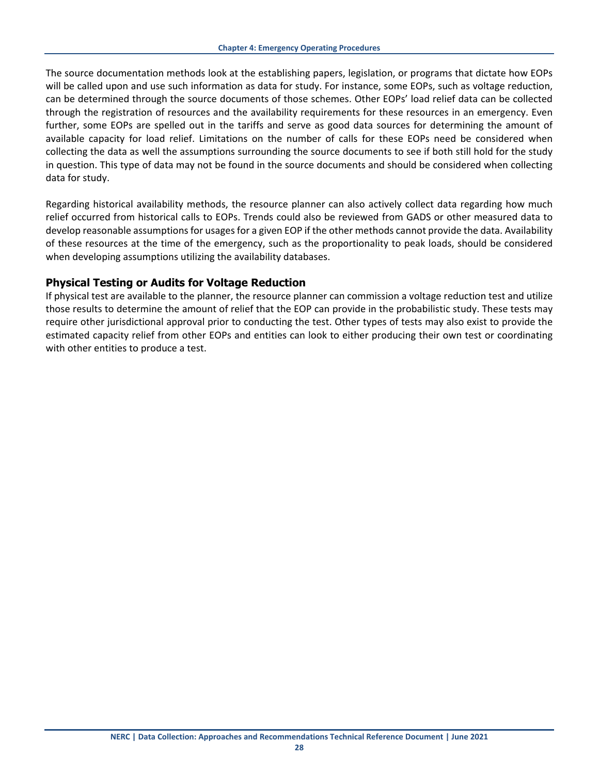The source documentation methods look at the establishing papers, legislation, or programs that dictate how EOPs will be called upon and use such information as data for study. For instance, some EOPs, such as voltage reduction, can be determined through the source documents of those schemes. Other EOPs' load relief data can be collected through the registration of resources and the availability requirements for these resources in an emergency. Even further, some EOPs are spelled out in the tariffs and serve as good data sources for determining the amount of available capacity for load relief. Limitations on the number of calls for these EOPs need be considered when collecting the data as well the assumptions surrounding the source documents to see if both still hold for the study in question. This type of data may not be found in the source documents and should be considered when collecting data for study.

Regarding historical availability methods, the resource planner can also actively collect data regarding how much relief occurred from historical calls to EOPs. Trends could also be reviewed from GADS or other measured data to develop reasonable assumptions for usages for a given EOP if the other methods cannot provide the data. Availability of these resources at the time of the emergency, such as the proportionality to peak loads, should be considered when developing assumptions utilizing the availability databases.

## <span id="page-27-0"></span>**Physical Testing or Audits for Voltage Reduction**

If physical test are available to the planner, the resource planner can commission a voltage reduction test and utilize those results to determine the amount of relief that the EOP can provide in the probabilistic study. These tests may require other jurisdictional approval prior to conducting the test. Other types of tests may also exist to provide the estimated capacity relief from other EOPs and entities can look to either producing their own test or coordinating with other entities to produce a test.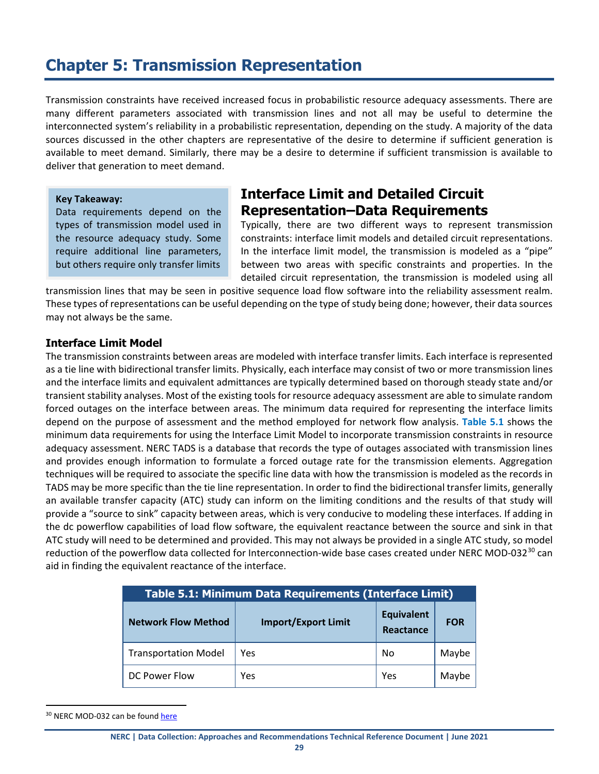# <span id="page-28-0"></span>**Chapter 5: Transmission Representation**

Transmission constraints have received increased focus in probabilistic resource adequacy assessments. There are many different parameters associated with transmission lines and not all may be useful to determine the interconnected system's reliability in a probabilistic representation, depending on the study. A majority of the data sources discussed in the other chapters are representative of the desire to determine if sufficient generation is available to meet demand. Similarly, there may be a desire to determine if sufficient transmission is available to deliver that generation to meet demand.

**Key Takeaway:**

Data requirements depend on the types of transmission model used in the resource adequacy study. Some require additional line parameters, but others require only transfer limits

## <span id="page-28-1"></span>**Interface Limit and Detailed Circuit Representation–Data Requirements**

Typically, there are two different ways to represent transmission constraints: interface limit models and detailed circuit representations. In the interface limit model, the transmission is modeled as a "pipe" between two areas with specific constraints and properties. In the detailed circuit representation, the transmission is modeled using all

transmission lines that may be seen in positive sequence load flow software into the reliability assessment realm. These types of representations can be useful depending on the type of study being done; however, their data sources may not always be the same.

#### <span id="page-28-2"></span>**Interface Limit Model**

The transmission constraints between areas are modeled with interface transfer limits. Each interface is represented as a tie line with bidirectional transfer limits. Physically, each interface may consist of two or more transmission lines and the interface limits and equivalent admittances are typically determined based on thorough steady state and/or transient stability analyses. Most of the existing tools for resource adequacy assessment are able to simulate random forced outages on the interface between areas. The minimum data required for representing the interface limits depend on the purpose of assessment and the method employed for network flow analysis. **[Table 5.1](#page-28-3)** shows the minimum data requirements for using the Interface Limit Model to incorporate transmission constraints in resource adequacy assessment. NERC TADS is a database that records the type of outages associated with transmission lines and provides enough information to formulate a forced outage rate for the transmission elements. Aggregation techniques will be required to associate the specific line data with how the transmission is modeled as the records in TADS may be more specific than the tie line representation. In order to find the bidirectional transfer limits, generally an available transfer capacity (ATC) study can inform on the limiting conditions and the results of that study will provide a "source to sink" capacity between areas, which is very conducive to modeling these interfaces. If adding in the dc powerflow capabilities of load flow software, the equivalent reactance between the source and sink in that ATC study will need to be determined and provided. This may not always be provided in a single ATC study, so model reduction of the powerflow data collected for Interconnection-wide base cases created under NERC MOD-032<sup>[30](#page-28-4)</sup> can aid in finding the equivalent reactance of the interface.

<span id="page-28-3"></span>

| Table 5.1: Minimum Data Requirements (Interface Limit) |                            |                                |            |  |  |  |  |  |  |  |
|--------------------------------------------------------|----------------------------|--------------------------------|------------|--|--|--|--|--|--|--|
| <b>Network Flow Method</b>                             | <b>Import/Export Limit</b> | <b>Equivalent</b><br>Reactance | <b>FOR</b> |  |  |  |  |  |  |  |
| <b>Transportation Model</b>                            | Yes                        | No                             | Maybe      |  |  |  |  |  |  |  |
| DC Power Flow                                          | Yes                        | Yes                            | Maybe      |  |  |  |  |  |  |  |

<span id="page-28-4"></span><sup>&</sup>lt;sup>30</sup> NERC MOD-032 can be foun[d here](https://www.nerc.com/pa/Stand/Reliability%20Standards/MOD-032-1.pdf)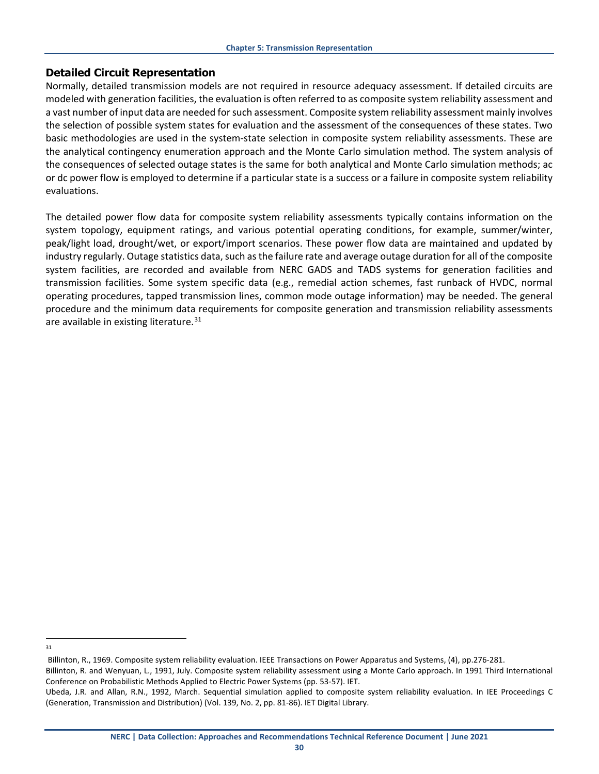#### <span id="page-29-0"></span>**Detailed Circuit Representation**

Normally, detailed transmission models are not required in resource adequacy assessment. If detailed circuits are modeled with generation facilities, the evaluation is often referred to as composite system reliability assessment and a vast number of input data are needed for such assessment. Composite system reliability assessment mainly involves the selection of possible system states for evaluation and the assessment of the consequences of these states. Two basic methodologies are used in the system-state selection in composite system reliability assessments. These are the analytical contingency enumeration approach and the Monte Carlo simulation method. The system analysis of the consequences of selected outage states is the same for both analytical and Monte Carlo simulation methods; ac or dc power flow is employed to determine if a particular state is a success or a failure in composite system reliability evaluations.

The detailed power flow data for composite system reliability assessments typically contains information on the system topology, equipment ratings, and various potential operating conditions, for example, summer/winter, peak/light load, drought/wet, or export/import scenarios. These power flow data are maintained and updated by industry regularly. Outage statistics data, such as the failure rate and average outage duration for all of the composite system facilities, are recorded and available from NERC GADS and TADS systems for generation facilities and transmission facilities. Some system specific data (e.g., remedial action schemes, fast runback of HVDC, normal operating procedures, tapped transmission lines, common mode outage information) may be needed. The general procedure and the minimum data requirements for composite generation and transmission reliability assessments are available in existing literature.<sup>[31](#page-29-1)</sup>

<span id="page-29-1"></span>31

Billinton, R., 1969. Composite system reliability evaluation. IEEE Transactions on Power Apparatus and Systems, (4), pp.276-281.

Billinton, R. and Wenyuan, L., 1991, July. Composite system reliability assessment using a Monte Carlo approach. In 1991 Third International Conference on Probabilistic Methods Applied to Electric Power Systems (pp. 53-57). IET.

Ubeda, J.R. and Allan, R.N., 1992, March. Sequential simulation applied to composite system reliability evaluation. In IEE Proceedings C (Generation, Transmission and Distribution) (Vol. 139, No. 2, pp. 81-86). IET Digital Library.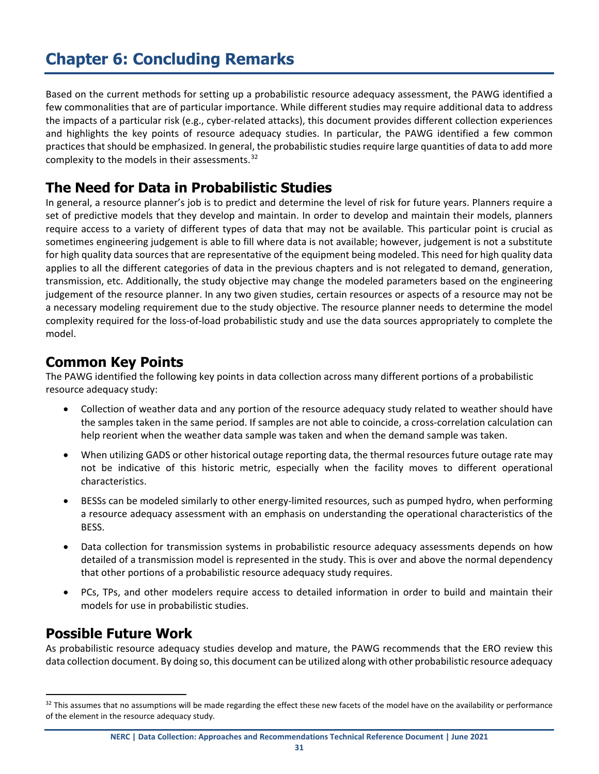# <span id="page-30-0"></span>**Chapter 6: Concluding Remarks**

Based on the current methods for setting up a probabilistic resource adequacy assessment, the PAWG identified a few commonalities that are of particular importance. While different studies may require additional data to address the impacts of a particular risk (e.g., cyber-related attacks), this document provides different collection experiences and highlights the key points of resource adequacy studies. In particular, the PAWG identified a few common practices that should be emphasized. In general, the probabilistic studies require large quantities of data to add more complexity to the models in their assessments.<sup>[32](#page-30-4)</sup>

## <span id="page-30-1"></span>**The Need for Data in Probabilistic Studies**

In general, a resource planner's job is to predict and determine the level of risk for future years. Planners require a set of predictive models that they develop and maintain. In order to develop and maintain their models, planners require access to a variety of different types of data that may not be available. This particular point is crucial as sometimes engineering judgement is able to fill where data is not available; however, judgement is not a substitute for high quality data sources that are representative of the equipment being modeled. This need for high quality data applies to all the different categories of data in the previous chapters and is not relegated to demand, generation, transmission, etc. Additionally, the study objective may change the modeled parameters based on the engineering judgement of the resource planner. In any two given studies, certain resources or aspects of a resource may not be a necessary modeling requirement due to the study objective. The resource planner needs to determine the model complexity required for the loss-of-load probabilistic study and use the data sources appropriately to complete the model.

## <span id="page-30-2"></span>**Common Key Points**

The PAWG identified the following key points in data collection across many different portions of a probabilistic resource adequacy study:

- Collection of weather data and any portion of the resource adequacy study related to weather should have the samples taken in the same period. If samples are not able to coincide, a cross-correlation calculation can help reorient when the weather data sample was taken and when the demand sample was taken.
- When utilizing GADS or other historical outage reporting data, the thermal resources future outage rate may not be indicative of this historic metric, especially when the facility moves to different operational characteristics.
- BESSs can be modeled similarly to other energy-limited resources, such as pumped hydro, when performing a resource adequacy assessment with an emphasis on understanding the operational characteristics of the BESS.
- Data collection for transmission systems in probabilistic resource adequacy assessments depends on how detailed of a transmission model is represented in the study. This is over and above the normal dependency that other portions of a probabilistic resource adequacy study requires.
- PCs, TPs, and other modelers require access to detailed information in order to build and maintain their models for use in probabilistic studies.

## <span id="page-30-3"></span>**Possible Future Work**

As probabilistic resource adequacy studies develop and mature, the PAWG recommends that the ERO review this data collection document. By doing so, this document can be utilized along with other probabilistic resource adequacy

<span id="page-30-4"></span><sup>&</sup>lt;sup>32</sup> This assumes that no assumptions will be made regarding the effect these new facets of the model have on the availability or performance of the element in the resource adequacy study.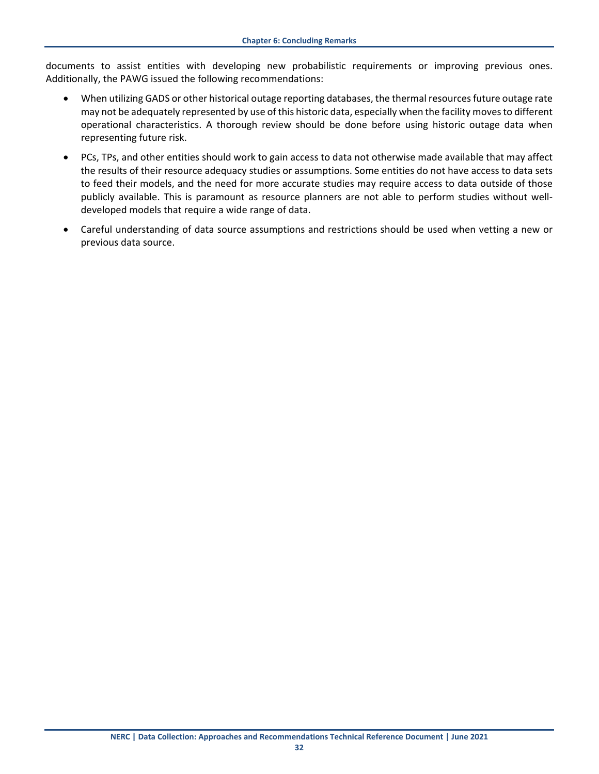documents to assist entities with developing new probabilistic requirements or improving previous ones. Additionally, the PAWG issued the following recommendations:

- When utilizing GADS or other historical outage reporting databases, the thermal resources future outage rate may not be adequately represented by use of this historic data, especially when the facility moves to different operational characteristics. A thorough review should be done before using historic outage data when representing future risk.
- PCs, TPs, and other entities should work to gain access to data not otherwise made available that may affect the results of their resource adequacy studies or assumptions. Some entities do not have access to data sets to feed their models, and the need for more accurate studies may require access to data outside of those publicly available. This is paramount as resource planners are not able to perform studies without welldeveloped models that require a wide range of data.
- Careful understanding of data source assumptions and restrictions should be used when vetting a new or previous data source.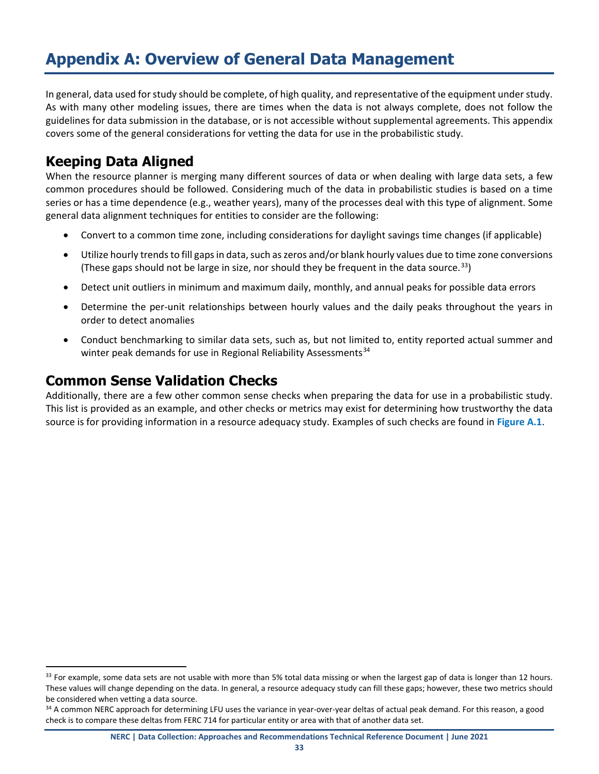# <span id="page-32-0"></span>**Appendix A: Overview of General Data Management**

In general, data used for study should be complete, of high quality, and representative of the equipment under study. As with many other modeling issues, there are times when the data is not always complete, does not follow the guidelines for data submission in the database, or is not accessible without supplemental agreements. This appendix covers some of the general considerations for vetting the data for use in the probabilistic study.

## **Keeping Data Aligned**

When the resource planner is merging many different sources of data or when dealing with large data sets, a few common procedures should be followed. Considering much of the data in probabilistic studies is based on a time series or has a time dependence (e.g., weather years), many of the processes deal with this type of alignment. Some general data alignment techniques for entities to consider are the following:

- Convert to a common time zone, including considerations for daylight savings time changes (if applicable)
- Utilize hourly trends to fill gaps in data, such as zeros and/or blank hourly values due to time zone conversions (These gaps should not be large in size, nor should they be frequent in the data source. [33](#page-32-1))
- Detect unit outliers in minimum and maximum daily, monthly, and annual peaks for possible data errors
- Determine the per-unit relationships between hourly values and the daily peaks throughout the years in order to detect anomalies
- Conduct benchmarking to similar data sets, such as, but not limited to, entity reported actual summer and winter peak demands for use in Regional Reliability Assessments<sup>[34](#page-32-2)</sup>

## **Common Sense Validation Checks**

Additionally, there are a few other common sense checks when preparing the data for use in a probabilistic study. This list is provided as an example, and other checks or metrics may exist for determining how trustworthy the data source is for providing information in a resource adequacy study. Examples of such checks are found in **[Figure A.1](#page-33-0)**.

<span id="page-32-1"></span><sup>&</sup>lt;sup>33</sup> For example, some data sets are not usable with more than 5% total data missing or when the largest gap of data is longer than 12 hours. These values will change depending on the data. In general, a resource adequacy study can fill these gaps; however, these two metrics should be considered when vetting a data source.

<span id="page-32-2"></span><sup>&</sup>lt;sup>34</sup> A common NERC approach for determining LFU uses the variance in year-over-year deltas of actual peak demand. For this reason, a good check is to compare these deltas from FERC 714 for particular entity or area with that of another data set.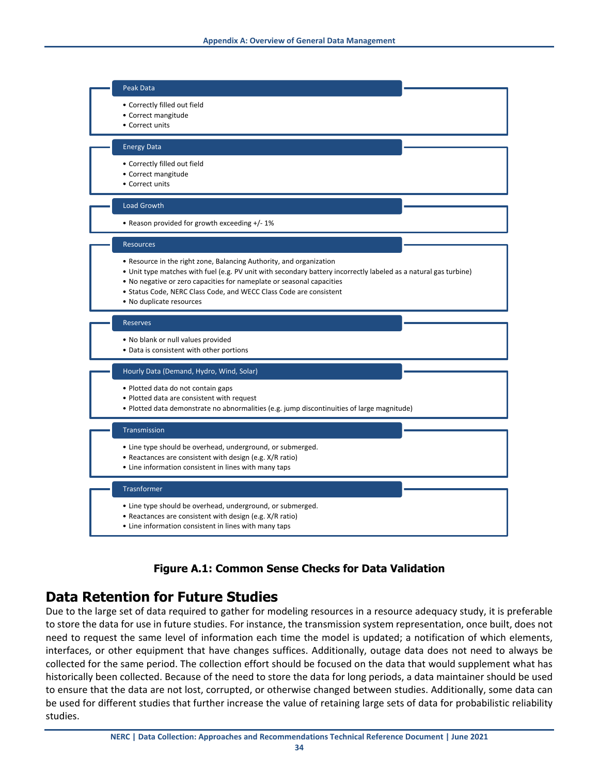

## **Figure A.1: Common Sense Checks for Data Validation**

## <span id="page-33-0"></span>**Data Retention for Future Studies**

Due to the large set of data required to gather for modeling resources in a resource adequacy study, it is preferable to store the data for use in future studies. For instance, the transmission system representation, once built, does not need to request the same level of information each time the model is updated; a notification of which elements, interfaces, or other equipment that have changes suffices. Additionally, outage data does not need to always be collected for the same period. The collection effort should be focused on the data that would supplement what has historically been collected. Because of the need to store the data for long periods, a data maintainer should be used to ensure that the data are not lost, corrupted, or otherwise changed between studies. Additionally, some data can be used for different studies that further increase the value of retaining large sets of data for probabilistic reliability studies.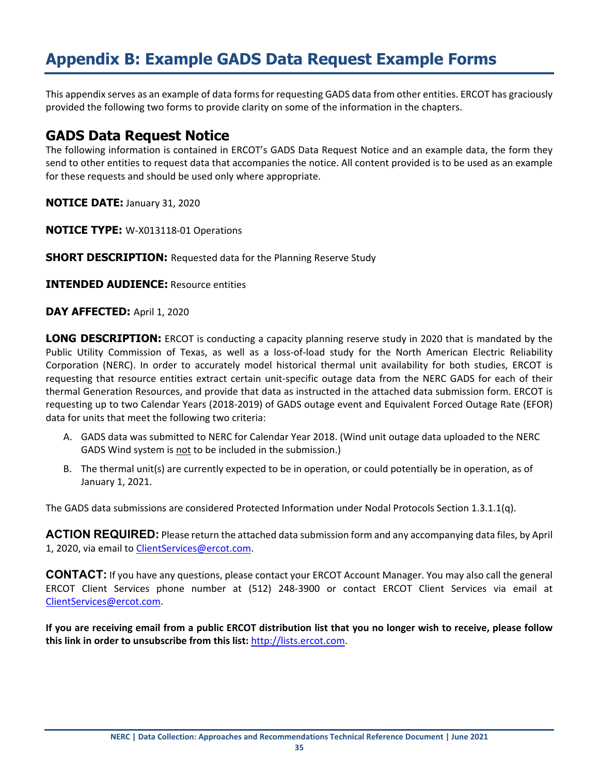# <span id="page-34-0"></span>**Appendix B: Example GADS Data Request Example Forms**

This appendix serves as an example of data forms for requesting GADS data from other entities. ERCOT has graciously provided the following two forms to provide clarity on some of the information in the chapters.

## **GADS Data Request Notice**

The following information is contained in ERCOT's GADS Data Request Notice and an example data, the form they send to other entities to request data that accompanies the notice. All content provided is to be used as an example for these requests and should be used only where appropriate.

**NOTICE DATE:** January 31, 2020

**NOTICE TYPE:** W-X013118-01 Operations

**SHORT DESCRIPTION:** Requested data for the Planning Reserve Study

**INTENDED AUDIENCE:** Resource entities

**DAY AFFECTED: April 1, 2020** 

**LONG DESCRIPTION:** ERCOT is conducting a capacity planning reserve study in 2020 that is mandated by the Public Utility Commission of Texas, as well as a loss-of-load study for the North American Electric Reliability Corporation (NERC). In order to accurately model historical thermal unit availability for both studies, ERCOT is requesting that resource entities extract certain unit-specific outage data from the NERC GADS for each of their thermal Generation Resources, and provide that data as instructed in the attached data submission form. ERCOT is requesting up to two Calendar Years (2018-2019) of GADS outage event and Equivalent Forced Outage Rate (EFOR) data for units that meet the following two criteria:

- A. GADS data was submitted to NERC for Calendar Year 2018. (Wind unit outage data uploaded to the NERC GADS Wind system is not to be included in the submission.)
- B. The thermal unit(s) are currently expected to be in operation, or could potentially be in operation, as of January 1, 2021.

The GADS data submissions are considered Protected Information under Nodal Protocols Section 1.3.1.1(q).

**ACTION REQUIRED:** Please return the attached data submission form and any accompanying data files, by April 1, 2020, via email to [ClientServices@ercot.com.](mailto:ClientServices@ercot.com)

**CONTACT:** If you have any questions, please contact your ERCOT Account Manager. You may also call the general ERCOT Client Services phone number at (512) 248-3900 or contact ERCOT Client Services via email at [ClientServices@ercot.com.](mailto:ClientServices@ercot.com)

**If you are receiving email from a public ERCOT distribution list that you no longer wish to receive, please follow this link in order to unsubscribe from this list:** [http://lists.ercot.com.](http://lists.ercot.com/)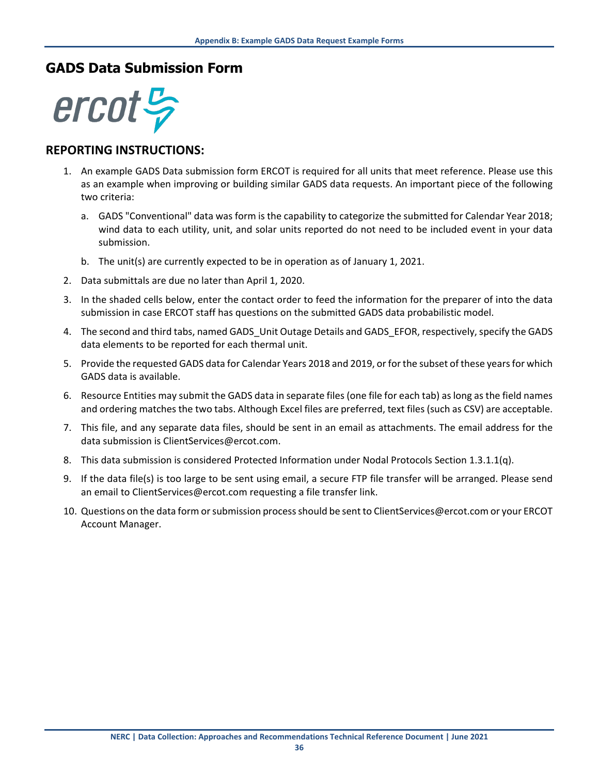## **GADS Data Submission Form**



## **REPORTING INSTRUCTIONS:**

- 1. An example GADS Data submission form ERCOT is required for all units that meet reference. Please use this as an example when improving or building similar GADS data requests. An important piece of the following two criteria:
	- a. GADS "Conventional" data was form is the capability to categorize the submitted for Calendar Year 2018; wind data to each utility, unit, and solar units reported do not need to be included event in your data submission.
	- b. The unit(s) are currently expected to be in operation as of January 1, 2021.
- 2. Data submittals are due no later than April 1, 2020.
- 3. In the shaded cells below, enter the contact order to feed the information for the preparer of into the data submission in case ERCOT staff has questions on the submitted GADS data probabilistic model.
- 4. The second and third tabs, named GADS\_Unit Outage Details and GADS\_EFOR, respectively, specify the GADS data elements to be reported for each thermal unit.
- 5. Provide the requested GADS data for Calendar Years 2018 and 2019, or for the subset of these years for which GADS data is available.
- 6. Resource Entities may submit the GADS data in separate files (one file for each tab) as long as the field names and ordering matches the two tabs. Although Excel files are preferred, text files (such as CSV) are acceptable.
- 7. This file, and any separate data files, should be sent in an email as attachments. The email address for the data submission is ClientServices@ercot.com.
- 8. This data submission is considered Protected Information under Nodal Protocols Section 1.3.1.1(q).
- 9. If the data file(s) is too large to be sent using email, a secure FTP file transfer will be arranged. Please send an email to ClientServices@ercot.com requesting a file transfer link.
- 10. Questions on the data form or submission process should be sent to ClientServices@ercot.com or your ERCOT Account Manager.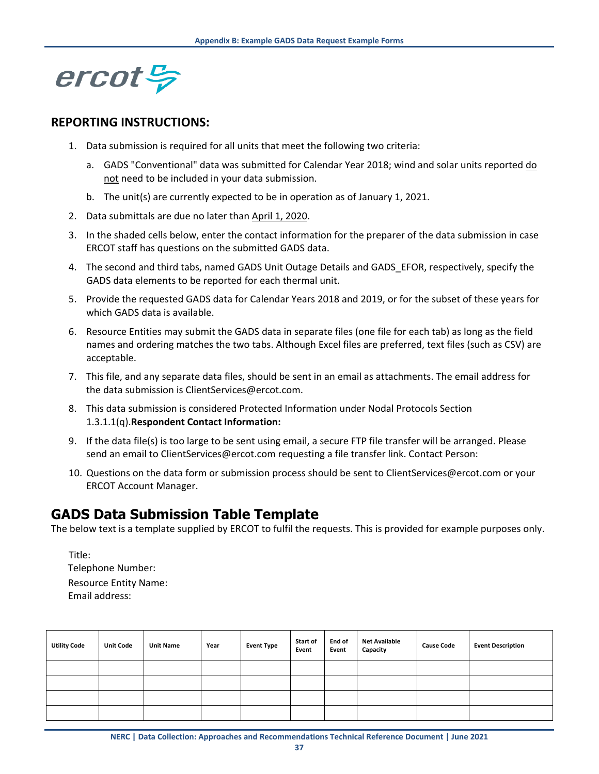

## **REPORTING INSTRUCTIONS:**

- 1. Data submission is required for all units that meet the following two criteria:
	- a. GADS "Conventional" data was submitted for Calendar Year 2018; wind and solar units reported do not need to be included in your data submission.
	- b. The unit(s) are currently expected to be in operation as of January 1, 2021.
- 2. Data submittals are due no later than April 1, 2020.
- 3. In the shaded cells below, enter the contact information for the preparer of the data submission in case ERCOT staff has questions on the submitted GADS data.
- 4. The second and third tabs, named GADS Unit Outage Details and GADS EFOR, respectively, specify the GADS data elements to be reported for each thermal unit.
- 5. Provide the requested GADS data for Calendar Years 2018 and 2019, or for the subset of these years for which GADS data is available.
- 6. Resource Entities may submit the GADS data in separate files (one file for each tab) as long as the field names and ordering matches the two tabs. Although Excel files are preferred, text files (such as CSV) are acceptable.
- 7. This file, and any separate data files, should be sent in an email as attachments. The email address for the data submission is ClientServices@ercot.com.
- 8. This data submission is considered Protected Information under Nodal Protocols Section 1.3.1.1(q).**Respondent Contact Information:**
- 9. If the data file(s) is too large to be sent using email, a secure FTP file transfer will be arranged. Please send an email to ClientServices@ercot.com requesting a file transfer link. Contact Person:
- 10. Questions on the data form or submission process should be sent to ClientServices@ercot.com or your ERCOT Account Manager.

## **GADS Data Submission Table Template**

The below text is a template supplied by ERCOT to fulfil the requests. This is provided for example purposes only.

Title: Telephone Number: Resource Entity Name: Email address:

| <b>Utility Code</b> | <b>Unit Code</b> | <b>Unit Name</b> | Year | <b>Event Type</b> | Start of<br>Event | End of<br>Event | <b>Net Available</b><br>Capacity | <b>Cause Code</b> | <b>Event Description</b> |
|---------------------|------------------|------------------|------|-------------------|-------------------|-----------------|----------------------------------|-------------------|--------------------------|
|                     |                  |                  |      |                   |                   |                 |                                  |                   |                          |
|                     |                  |                  |      |                   |                   |                 |                                  |                   |                          |
|                     |                  |                  |      |                   |                   |                 |                                  |                   |                          |
|                     |                  |                  |      |                   |                   |                 |                                  |                   |                          |